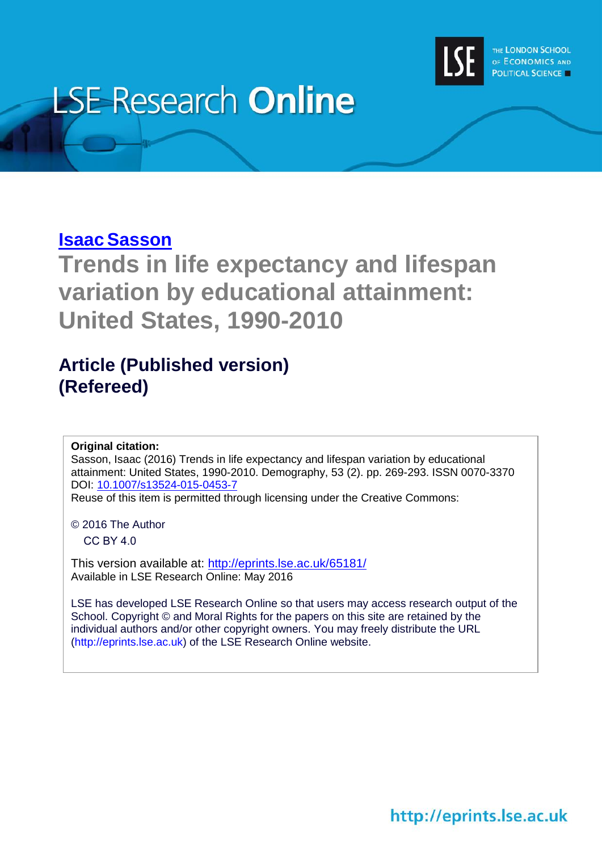

# **LSE Research Online**

## **Isaac Sasson**

**Trends in life expectancy and lifespan variation by educational attainment: United States, 1990-2010**

## **Article (Published version) (Refereed)**

**Original citation:**

Sasson, Isaac (2016) Trends in life expectancy and lifespan variation by educational attainment: United States, 1990-2010. Demography, 53 (2). pp. 269-293. ISSN 0070-3370 DOI: [10.1007/s13524-015-0453-7](http://dx.doi.org/10.1007/s13524-015-0453-7)

Reuse of this item is permitted through licensing under the Creative Commons:

© 2016 The Author

CC BY 4.0

This version available at:<http://eprints.lse.ac.uk/65181/> Available in LSE Research Online: May 2016

LSE has developed LSE Research Online so that users may access research output of the School. Copyright © and Moral Rights for the papers on this site are retained by the individual authors and/or other copyright owners. You may freely distribute the URL (http://eprints.lse.ac.uk) of the LSE Research Online website.

http://eprints.lse.ac.uk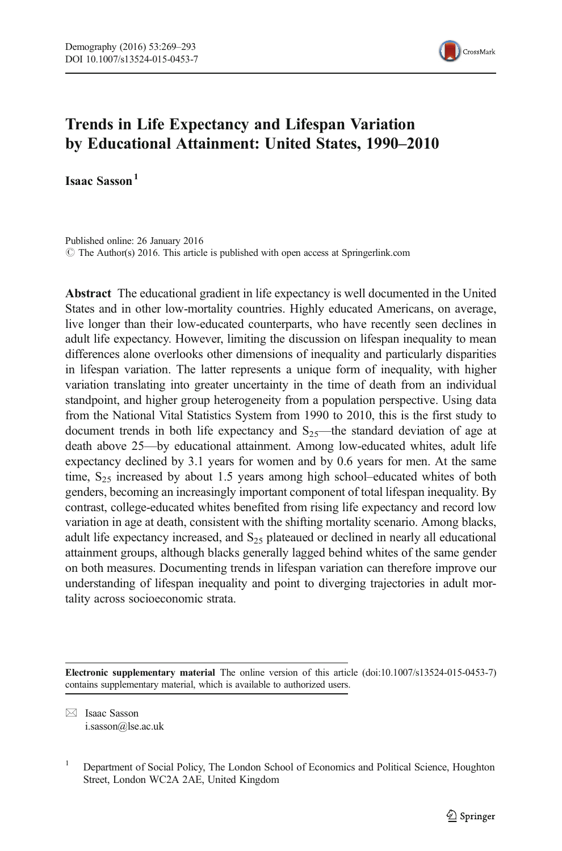

### Trends in Life Expectancy and Lifespan Variation by Educational Attainment: United States, 1990–2010

Isaac Sasson<sup>1</sup>

Published online: 26 January 2016 © The Author(s) 2016. This article is published with open access at Springerlink.com

Abstract The educational gradient in life expectancy is well documented in the United States and in other low-mortality countries. Highly educated Americans, on average, live longer than their low-educated counterparts, who have recently seen declines in adult life expectancy. However, limiting the discussion on lifespan inequality to mean differences alone overlooks other dimensions of inequality and particularly disparities in lifespan variation. The latter represents a unique form of inequality, with higher variation translating into greater uncertainty in the time of death from an individual standpoint, and higher group heterogeneity from a population perspective. Using data from the National Vital Statistics System from 1990 to 2010, this is the first study to document trends in both life expectancy and  $S_{25}$ —the standard deviation of age at death above 25—by educational attainment. Among low-educated whites, adult life expectancy declined by 3.1 years for women and by 0.6 years for men. At the same time,  $S_{25}$  increased by about 1.5 years among high school–educated whites of both genders, becoming an increasingly important component of total lifespan inequality. By contrast, college-educated whites benefited from rising life expectancy and record low variation in age at death, consistent with the shifting mortality scenario. Among blacks, adult life expectancy increased, and  $S_{25}$  plateaued or declined in nearly all educational attainment groups, although blacks generally lagged behind whites of the same gender on both measures. Documenting trends in lifespan variation can therefore improve our understanding of lifespan inequality and point to diverging trajectories in adult mortality across socioeconomic strata.

 $\boxtimes$  Isaac Sasson i.sasson@lse.ac.uk

Electronic supplementary material The online version of this article (doi:[10.1007/s13524-015-0453-7\)](http://dx.doi.org/10.1007/s13524-015-0453-7) contains supplementary material, which is available to authorized users.

<sup>1</sup> Department of Social Policy, The London School of Economics and Political Science, Houghton Street, London WC2A 2AE, United Kingdom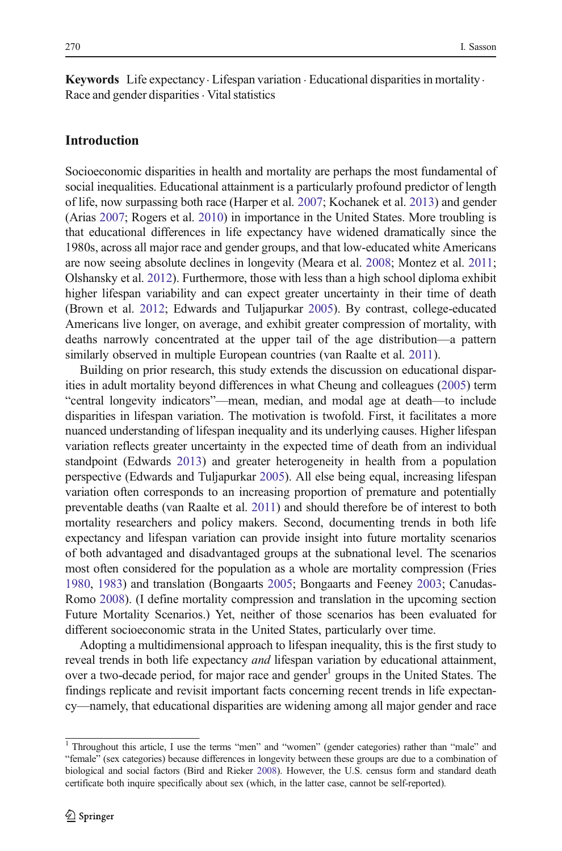**Keywords** Life expectancy  $\cdot$  Lifespan variation  $\cdot$  Educational disparities in mortality  $\cdot$ Race and gender disparities  $\cdot$  Vital statistics

#### Introduction

Socioeconomic disparities in health and mortality are perhaps the most fundamental of social inequalities. Educational attainment is a particularly profound predictor of length of life, now surpassing both race (Harper et al. [2007](#page-23-0); Kochanek et al. [2013\)](#page-23-0) and gender (Arias [2007](#page-22-0); Rogers et al. [2010\)](#page-24-0) in importance in the United States. More troubling is that educational differences in life expectancy have widened dramatically since the 1980s, across all major race and gender groups, and that low-educated white Americans are now seeing absolute declines in longevity (Meara et al. [2008;](#page-24-0) Montez et al. [2011;](#page-24-0) Olshansky et al. [2012\)](#page-24-0). Furthermore, those with less than a high school diploma exhibit higher lifespan variability and can expect greater uncertainty in their time of death (Brown et al. [2012;](#page-22-0) Edwards and Tuljapurkar [2005\)](#page-23-0). By contrast, college-educated Americans live longer, on average, and exhibit greater compression of mortality, with deaths narrowly concentrated at the upper tail of the age distribution—a pattern similarly observed in multiple European countries (van Raalte et al. [2011](#page-25-0)).

Building on prior research, this study extends the discussion on educational disparities in adult mortality beyond differences in what Cheung and colleagues [\(2005\)](#page-22-0) term "central longevity indicators"—mean, median, and modal age at death—to include disparities in lifespan variation. The motivation is twofold. First, it facilitates a more nuanced understanding of lifespan inequality and its underlying causes. Higher lifespan variation reflects greater uncertainty in the expected time of death from an individual standpoint (Edwards [2013](#page-23-0)) and greater heterogeneity in health from a population perspective (Edwards and Tuljapurkar [2005\)](#page-23-0). All else being equal, increasing lifespan variation often corresponds to an increasing proportion of premature and potentially preventable deaths (van Raalte et al. [2011](#page-25-0)) and should therefore be of interest to both mortality researchers and policy makers. Second, documenting trends in both life expectancy and lifespan variation can provide insight into future mortality scenarios of both advantaged and disadvantaged groups at the subnational level. The scenarios most often considered for the population as a whole are mortality compression (Fries [1980,](#page-23-0) [1983\)](#page-23-0) and translation (Bongaarts [2005;](#page-22-0) Bongaarts and Feeney [2003;](#page-22-0) Canudas-Romo [2008\)](#page-22-0). (I define mortality compression and translation in the upcoming section Future Mortality Scenarios.) Yet, neither of those scenarios has been evaluated for different socioeconomic strata in the United States, particularly over time.

Adopting a multidimensional approach to lifespan inequality, this is the first study to reveal trends in both life expectancy *and* lifespan variation by educational attainment, over a two-decade period, for major race and gender $\alpha$  groups in the United States. The findings replicate and revisit important facts concerning recent trends in life expectancy—namely, that educational disparities are widening among all major gender and race

<sup>1</sup> Throughout this article, I use the terms "men" and "women" (gender categories) rather than "male" and "female" (sex categories) because differences in longevity between these groups are due to a combination of biological and social factors (Bird and Rieker [2008\)](#page-22-0). However, the U.S. census form and standard death certificate both inquire specifically about sex (which, in the latter case, cannot be self-reported).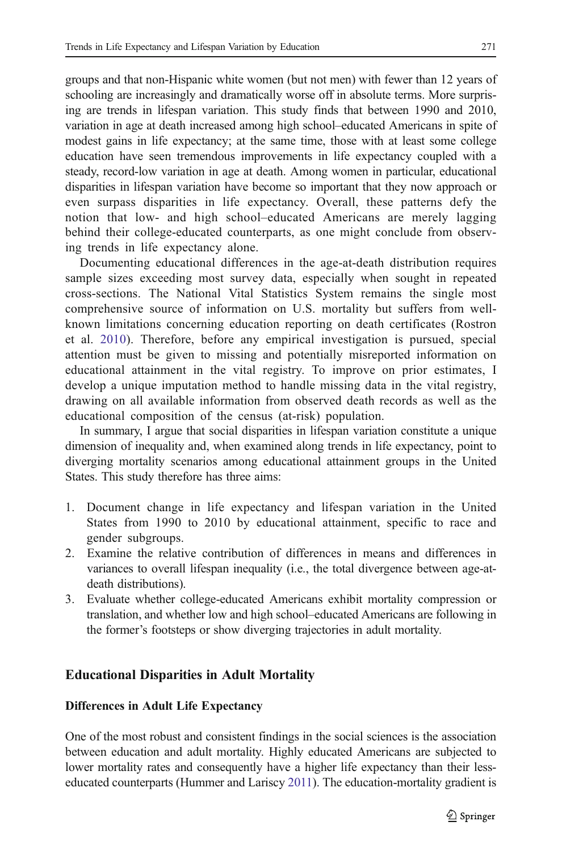groups and that non-Hispanic white women (but not men) with fewer than 12 years of schooling are increasingly and dramatically worse off in absolute terms. More surprising are trends in lifespan variation. This study finds that between 1990 and 2010, variation in age at death increased among high school–educated Americans in spite of modest gains in life expectancy; at the same time, those with at least some college education have seen tremendous improvements in life expectancy coupled with a steady, record-low variation in age at death. Among women in particular, educational disparities in lifespan variation have become so important that they now approach or even surpass disparities in life expectancy. Overall, these patterns defy the notion that low- and high school–educated Americans are merely lagging behind their college-educated counterparts, as one might conclude from observing trends in life expectancy alone.

Documenting educational differences in the age-at-death distribution requires sample sizes exceeding most survey data, especially when sought in repeated cross-sections. The National Vital Statistics System remains the single most comprehensive source of information on U.S. mortality but suffers from wellknown limitations concerning education reporting on death certificates (Rostron et al. [2010\)](#page-25-0). Therefore, before any empirical investigation is pursued, special attention must be given to missing and potentially misreported information on educational attainment in the vital registry. To improve on prior estimates, I develop a unique imputation method to handle missing data in the vital registry, drawing on all available information from observed death records as well as the educational composition of the census (at-risk) population.

In summary, I argue that social disparities in lifespan variation constitute a unique dimension of inequality and, when examined along trends in life expectancy, point to diverging mortality scenarios among educational attainment groups in the United States. This study therefore has three aims:

- 1. Document change in life expectancy and lifespan variation in the United States from 1990 to 2010 by educational attainment, specific to race and gender subgroups.
- 2. Examine the relative contribution of differences in means and differences in variances to overall lifespan inequality (i.e., the total divergence between age-atdeath distributions).
- 3. Evaluate whether college-educated Americans exhibit mortality compression or translation, and whether low and high school–educated Americans are following in the former's footsteps or show diverging trajectories in adult mortality.

#### Educational Disparities in Adult Mortality

#### Differences in Adult Life Expectancy

One of the most robust and consistent findings in the social sciences is the association between education and adult mortality. Highly educated Americans are subjected to lower mortality rates and consequently have a higher life expectancy than their lesseducated counterparts (Hummer and Lariscy [2011](#page-23-0)). The education-mortality gradient is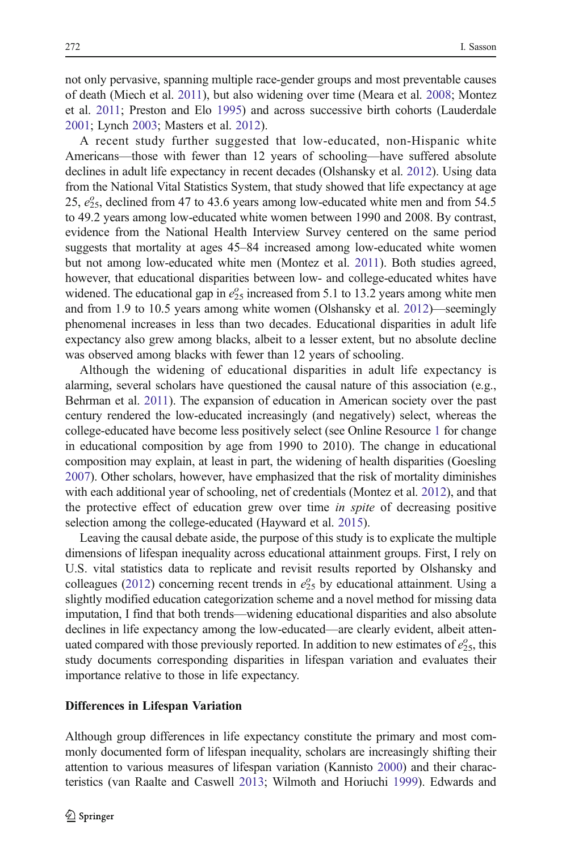not only pervasive, spanning multiple race-gender groups and most preventable causes of death (Miech et al. [2011](#page-24-0)), but also widening over time (Meara et al. [2008;](#page-24-0) Montez et al. [2011](#page-24-0); Preston and Elo [1995](#page-24-0)) and across successive birth cohorts (Lauderdale [2001;](#page-23-0) Lynch [2003](#page-24-0); Masters et al. [2012\)](#page-24-0).

A recent study further suggested that low-educated, non-Hispanic white Americans—those with fewer than 12 years of schooling—have suffered absolute declines in adult life expectancy in recent decades (Olshansky et al. [2012\)](#page-24-0). Using data from the National Vital Statistics System, that study showed that life expectancy at age 25,  $e_{25}^{\circ}$ , declined from 47 to 43.6 years among low-educated white men and from 54.5 to 49.2 years among low-educated white women between 1990 and 2008. By contrast, evidence from the National Health Interview Survey centered on the same period suggests that mortality at ages 45–84 increased among low-educated white women but not among low-educated white men (Montez et al. [2011\)](#page-24-0). Both studies agreed, however, that educational disparities between low- and college-educated whites have widened. The educational gap in  $e_{25}^{\circ}$  increased from 5.1 to 13.2 years among white men and from 1.9 to 10.5 years among white women (Olshansky et al. [2012\)](#page-24-0)—seemingly phenomenal increases in less than two decades. Educational disparities in adult life expectancy also grew among blacks, albeit to a lesser extent, but no absolute decline was observed among blacks with fewer than 12 years of schooling.

Although the widening of educational disparities in adult life expectancy is alarming, several scholars have questioned the causal nature of this association (e.g., Behrman et al. [2011](#page-22-0)). The expansion of education in American society over the past century rendered the low-educated increasingly (and negatively) select, whereas the college-educated have become less positively select (see Online Resource 1 for change in educational composition by age from 1990 to 2010). The change in educational composition may explain, at least in part, the widening of health disparities (Goesling [2007\)](#page-23-0). Other scholars, however, have emphasized that the risk of mortality diminishes with each additional year of schooling, net of credentials (Montez et al. [2012](#page-24-0)), and that the protective effect of education grew over time *in spite* of decreasing positive selection among the college-educated (Hayward et al. [2015](#page-23-0)).

Leaving the causal debate aside, the purpose of this study is to explicate the multiple dimensions of lifespan inequality across educational attainment groups. First, I rely on U.S. vital statistics data to replicate and revisit results reported by Olshansky and colleagues [\(2012\)](#page-24-0) concerning recent trends in  $e_{25}^{\circ}$  by educational attainment. Using a slightly modified education categorization scheme and a novel method for missing data imputation, I find that both trends—widening educational disparities and also absolute declines in life expectancy among the low-educated—are clearly evident, albeit attenuated compared with those previously reported. In addition to new estimates of  $e_{25}^{\circ}$ , this study documents corresponding disparities in lifespan variation and evaluates their importance relative to those in life expectancy.

#### Differences in Lifespan Variation

Although group differences in life expectancy constitute the primary and most commonly documented form of lifespan inequality, scholars are increasingly shifting their attention to various measures of lifespan variation (Kannisto [2000\)](#page-23-0) and their characteristics (van Raalte and Caswell [2013;](#page-25-0) Wilmoth and Horiuchi [1999\)](#page-25-0). Edwards and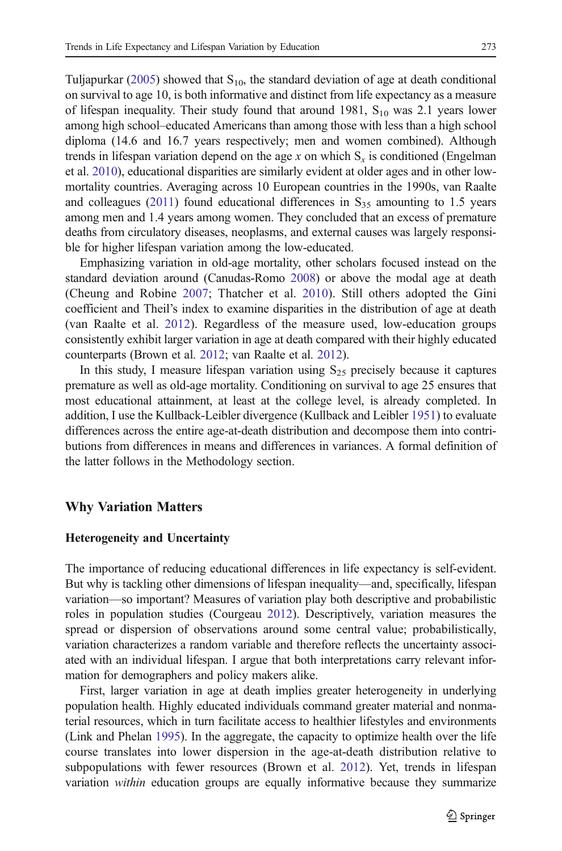Tuljapurkar [\(2005\)](#page-23-0) showed that  $S_{10}$ , the standard deviation of age at death conditional on survival to age 10, is both informative and distinct from life expectancy as a measure of lifespan inequality. Their study found that around 1981,  $S_{10}$  was 2.1 years lower among high school–educated Americans than among those with less than a high school diploma (14.6 and 16.7 years respectively; men and women combined). Although trends in lifespan variation depend on the age x on which  $S<sub>x</sub>$  is conditioned (Engelman et al. [2010\)](#page-23-0), educational disparities are similarly evident at older ages and in other lowmortality countries. Averaging across 10 European countries in the 1990s, van Raalte and colleagues [\(2011](#page-25-0)) found educational differences in  $S_{35}$  amounting to 1.5 years among men and 1.4 years among women. They concluded that an excess of premature deaths from circulatory diseases, neoplasms, and external causes was largely responsible for higher lifespan variation among the low-educated.

Emphasizing variation in old-age mortality, other scholars focused instead on the standard deviation around (Canudas-Romo [2008\)](#page-22-0) or above the modal age at death (Cheung and Robine [2007](#page-22-0); Thatcher et al. [2010\)](#page-25-0). Still others adopted the Gini coefficient and Theil's index to examine disparities in the distribution of age at death (van Raalte et al. [2012\)](#page-25-0). Regardless of the measure used, low-education groups consistently exhibit larger variation in age at death compared with their highly educated counterparts (Brown et al. [2012;](#page-22-0) van Raalte et al. [2012\)](#page-25-0).

In this study, I measure lifespan variation using  $S_{25}$  precisely because it captures premature as well as old-age mortality. Conditioning on survival to age 25 ensures that most educational attainment, at least at the college level, is already completed. In addition, I use the Kullback-Leibler divergence (Kullback and Leibler [1951](#page-23-0)) to evaluate differences across the entire age-at-death distribution and decompose them into contributions from differences in means and differences in variances. A formal definition of the latter follows in the Methodology section.

#### Why Variation Matters

#### Heterogeneity and Uncertainty

The importance of reducing educational differences in life expectancy is self-evident. But why is tackling other dimensions of lifespan inequality—and, specifically, lifespan variation—so important? Measures of variation play both descriptive and probabilistic roles in population studies (Courgeau [2012\)](#page-22-0). Descriptively, variation measures the spread or dispersion of observations around some central value; probabilistically, variation characterizes a random variable and therefore reflects the uncertainty associated with an individual lifespan. I argue that both interpretations carry relevant information for demographers and policy makers alike.

First, larger variation in age at death implies greater heterogeneity in underlying population health. Highly educated individuals command greater material and nonmaterial resources, which in turn facilitate access to healthier lifestyles and environments (Link and Phelan [1995](#page-24-0)). In the aggregate, the capacity to optimize health over the life course translates into lower dispersion in the age-at-death distribution relative to subpopulations with fewer resources (Brown et al. [2012](#page-22-0)). Yet, trends in lifespan variation within education groups are equally informative because they summarize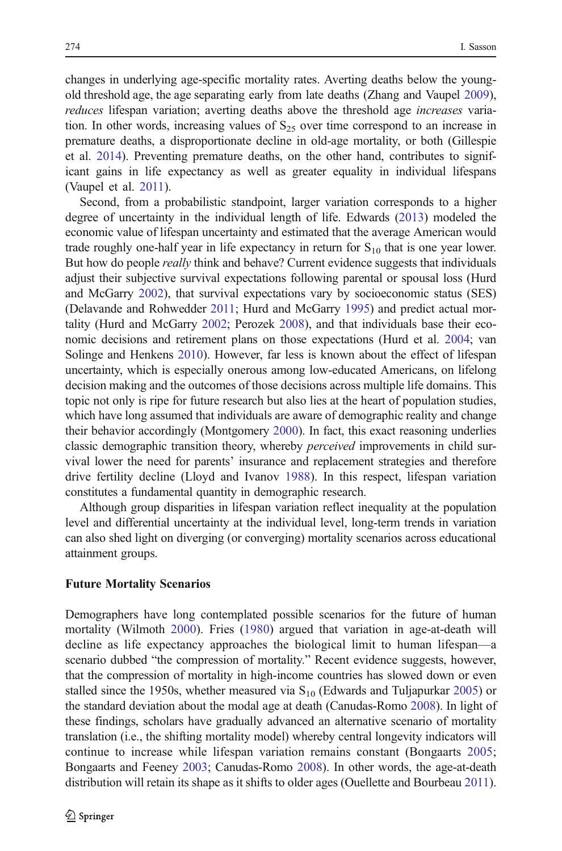changes in underlying age-specific mortality rates. Averting deaths below the youngold threshold age, the age separating early from late deaths (Zhang and Vaupel [2009\)](#page-25-0), reduces lifespan variation; averting deaths above the threshold age increases variation. In other words, increasing values of  $S_{25}$  over time correspond to an increase in premature deaths, a disproportionate decline in old-age mortality, or both (Gillespie et al. [2014](#page-23-0)). Preventing premature deaths, on the other hand, contributes to significant gains in life expectancy as well as greater equality in individual lifespans (Vaupel et al. [2011](#page-25-0)).

Second, from a probabilistic standpoint, larger variation corresponds to a higher degree of uncertainty in the individual length of life. Edwards [\(2013\)](#page-23-0) modeled the economic value of lifespan uncertainty and estimated that the average American would trade roughly one-half year in life expectancy in return for  $S_{10}$  that is one year lower. But how do people *really* think and behave? Current evidence suggests that individuals adjust their subjective survival expectations following parental or spousal loss (Hurd and McGarry [2002\)](#page-23-0), that survival expectations vary by socioeconomic status (SES) (Delavande and Rohwedder [2011;](#page-23-0) Hurd and McGarry [1995](#page-23-0)) and predict actual mortality (Hurd and McGarry [2002;](#page-23-0) Perozek [2008](#page-24-0)), and that individuals base their economic decisions and retirement plans on those expectations (Hurd et al. [2004](#page-23-0); van Solinge and Henkens [2010\)](#page-25-0). However, far less is known about the effect of lifespan uncertainty, which is especially onerous among low-educated Americans, on lifelong decision making and the outcomes of those decisions across multiple life domains. This topic not only is ripe for future research but also lies at the heart of population studies, which have long assumed that individuals are aware of demographic reality and change their behavior accordingly (Montgomery [2000](#page-24-0)). In fact, this exact reasoning underlies classic demographic transition theory, whereby perceived improvements in child survival lower the need for parents' insurance and replacement strategies and therefore drive fertility decline (Lloyd and Ivanov [1988\)](#page-24-0). In this respect, lifespan variation constitutes a fundamental quantity in demographic research.

Although group disparities in lifespan variation reflect inequality at the population level and differential uncertainty at the individual level, long-term trends in variation can also shed light on diverging (or converging) mortality scenarios across educational attainment groups.

#### Future Mortality Scenarios

Demographers have long contemplated possible scenarios for the future of human mortality (Wilmoth [2000\)](#page-25-0). Fries ([1980\)](#page-23-0) argued that variation in age-at-death will decline as life expectancy approaches the biological limit to human lifespan—a scenario dubbed "the compression of mortality." Recent evidence suggests, however, that the compression of mortality in high-income countries has slowed down or even stalled since the 1950s, whether measured via  $S_{10}$  (Edwards and Tuljapurkar [2005](#page-23-0)) or the standard deviation about the modal age at death (Canudas-Romo [2008\)](#page-22-0). In light of these findings, scholars have gradually advanced an alternative scenario of mortality translation (i.e., the shifting mortality model) whereby central longevity indicators will continue to increase while lifespan variation remains constant (Bongaarts [2005;](#page-22-0) Bongaarts and Feeney [2003](#page-22-0); Canudas-Romo [2008](#page-22-0)). In other words, the age-at-death distribution will retain its shape as it shifts to older ages (Ouellette and Bourbeau [2011\)](#page-24-0).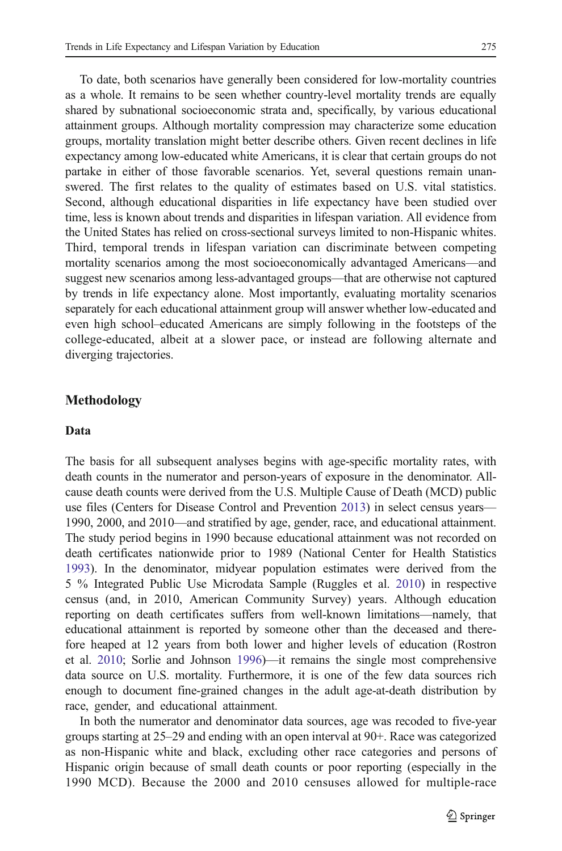To date, both scenarios have generally been considered for low-mortality countries as a whole. It remains to be seen whether country-level mortality trends are equally shared by subnational socioeconomic strata and, specifically, by various educational attainment groups. Although mortality compression may characterize some education groups, mortality translation might better describe others. Given recent declines in life expectancy among low-educated white Americans, it is clear that certain groups do not partake in either of those favorable scenarios. Yet, several questions remain unanswered. The first relates to the quality of estimates based on U.S. vital statistics. Second, although educational disparities in life expectancy have been studied over time, less is known about trends and disparities in lifespan variation. All evidence from the United States has relied on cross-sectional surveys limited to non-Hispanic whites. Third, temporal trends in lifespan variation can discriminate between competing mortality scenarios among the most socioeconomically advantaged Americans—and suggest new scenarios among less-advantaged groups—that are otherwise not captured by trends in life expectancy alone. Most importantly, evaluating mortality scenarios separately for each educational attainment group will answer whether low-educated and even high school–educated Americans are simply following in the footsteps of the college-educated, albeit at a slower pace, or instead are following alternate and diverging trajectories.

#### Methodology

#### Data

The basis for all subsequent analyses begins with age-specific mortality rates, with death counts in the numerator and person-years of exposure in the denominator. Allcause death counts were derived from the U.S. Multiple Cause of Death (MCD) public use files (Centers for Disease Control and Prevention [2013](#page-22-0)) in select census years— 1990, 2000, and 2010—and stratified by age, gender, race, and educational attainment. The study period begins in 1990 because educational attainment was not recorded on death certificates nationwide prior to 1989 (National Center for Health Statistics [1993\)](#page-24-0). In the denominator, midyear population estimates were derived from the 5 % Integrated Public Use Microdata Sample (Ruggles et al. [2010](#page-25-0)) in respective census (and, in 2010, American Community Survey) years. Although education reporting on death certificates suffers from well-known limitations—namely, that educational attainment is reported by someone other than the deceased and therefore heaped at 12 years from both lower and higher levels of education (Rostron et al. [2010;](#page-25-0) Sorlie and Johnson [1996\)](#page-25-0)—it remains the single most comprehensive data source on U.S. mortality. Furthermore, it is one of the few data sources rich enough to document fine-grained changes in the adult age-at-death distribution by race, gender, and educational attainment.

In both the numerator and denominator data sources, age was recoded to five-year groups starting at 25–29 and ending with an open interval at 90+. Race was categorized as non-Hispanic white and black, excluding other race categories and persons of Hispanic origin because of small death counts or poor reporting (especially in the 1990 MCD). Because the 2000 and 2010 censuses allowed for multiple-race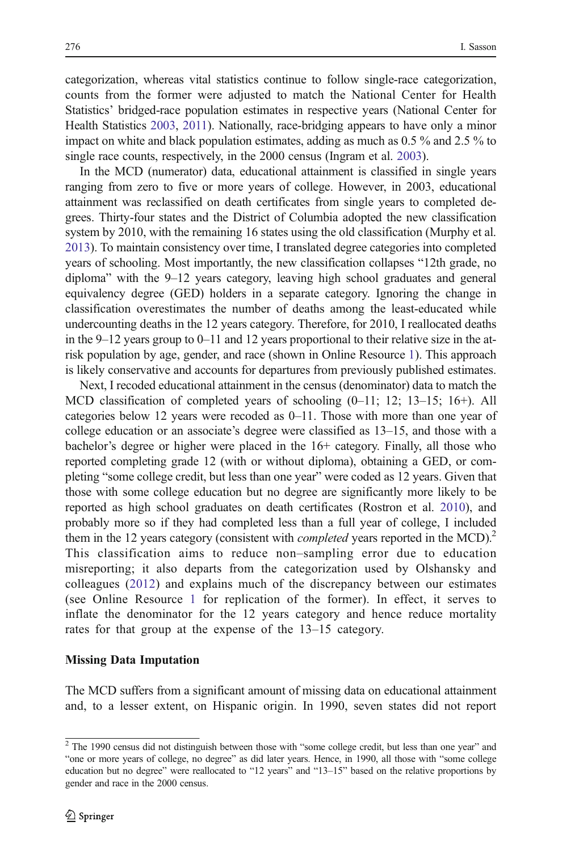categorization, whereas vital statistics continue to follow single-race categorization, counts from the former were adjusted to match the National Center for Health Statistics' bridged-race population estimates in respective years (National Center for Health Statistics [2003](#page-24-0), [2011](#page-24-0)). Nationally, race-bridging appears to have only a minor impact on white and black population estimates, adding as much as 0.5 % and 2.5 % to single race counts, respectively, in the 2000 census (Ingram et al. [2003](#page-23-0)).

In the MCD (numerator) data, educational attainment is classified in single years ranging from zero to five or more years of college. However, in 2003, educational attainment was reclassified on death certificates from single years to completed degrees. Thirty-four states and the District of Columbia adopted the new classification system by 2010, with the remaining 16 states using the old classification (Murphy et al. [2013\)](#page-24-0). To maintain consistency over time, I translated degree categories into completed years of schooling. Most importantly, the new classification collapses "12th grade, no diploma" with the 9–12 years category, leaving high school graduates and general equivalency degree (GED) holders in a separate category. Ignoring the change in classification overestimates the number of deaths among the least-educated while undercounting deaths in the 12 years category. Therefore, for 2010, I reallocated deaths in the 9–12 years group to 0–11 and 12 years proportional to their relative size in the atrisk population by age, gender, and race (shown in Online Resource 1). This approach is likely conservative and accounts for departures from previously published estimates.

Next, I recoded educational attainment in the census (denominator) data to match the MCD classification of completed years of schooling (0–11; 12; 13–15; 16+). All categories below 12 years were recoded as 0–11. Those with more than one year of college education or an associate's degree were classified as 13–15, and those with a bachelor's degree or higher were placed in the 16+ category. Finally, all those who reported completing grade 12 (with or without diploma), obtaining a GED, or completing "some college credit, but less than one year" were coded as 12 years. Given that those with some college education but no degree are significantly more likely to be reported as high school graduates on death certificates (Rostron et al. [2010](#page-25-0)), and probably more so if they had completed less than a full year of college, I included them in the 12 years category (consistent with *completed* years reported in the  $MCD$ ).<sup>2</sup> This classification aims to reduce non–sampling error due to education misreporting; it also departs from the categorization used by Olshansky and colleagues [\(2012\)](#page-24-0) and explains much of the discrepancy between our estimates (see Online Resource 1 for replication of the former). In effect, it serves to inflate the denominator for the 12 years category and hence reduce mortality rates for that group at the expense of the 13–15 category.

#### Missing Data Imputation

The MCD suffers from a significant amount of missing data on educational attainment and, to a lesser extent, on Hispanic origin. In 1990, seven states did not report

<sup>&</sup>lt;sup>2</sup> The 1990 census did not distinguish between those with "some college credit, but less than one year" and "one or more years of college, no degree" as did later years. Hence, in 1990, all those with "some college education but no degree" were reallocated to "12 years" and "13–15" based on the relative proportions by gender and race in the 2000 census.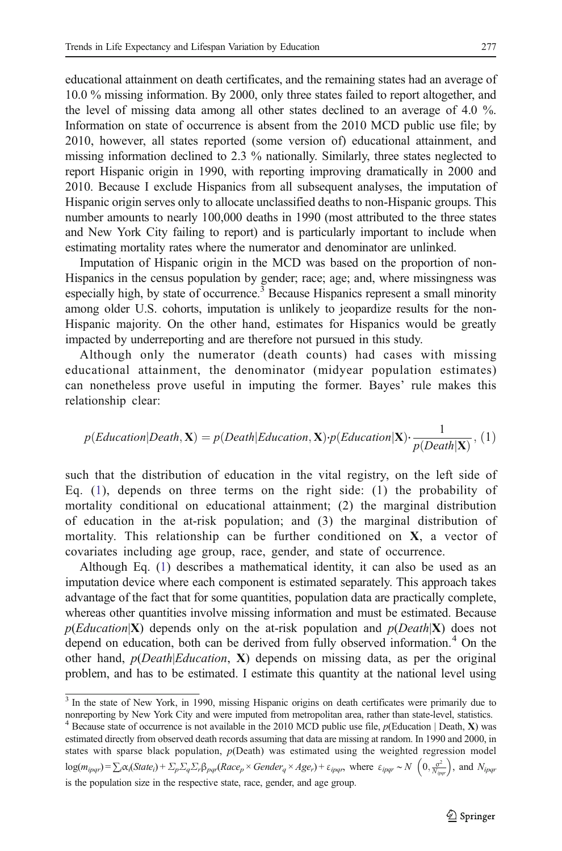<span id="page-9-0"></span>educational attainment on death certificates, and the remaining states had an average of 10.0 % missing information. By 2000, only three states failed to report altogether, and the level of missing data among all other states declined to an average of 4.0 %. Information on state of occurrence is absent from the 2010 MCD public use file; by 2010, however, all states reported (some version of) educational attainment, and missing information declined to 2.3 % nationally. Similarly, three states neglected to report Hispanic origin in 1990, with reporting improving dramatically in 2000 and 2010. Because I exclude Hispanics from all subsequent analyses, the imputation of Hispanic origin serves only to allocate unclassified deaths to non-Hispanic groups. This number amounts to nearly 100,000 deaths in 1990 (most attributed to the three states and New York City failing to report) and is particularly important to include when estimating mortality rates where the numerator and denominator are unlinked.

Imputation of Hispanic origin in the MCD was based on the proportion of non-Hispanics in the census population by gender; race; age; and, where missingness was especially high, by state of occurrence.<sup>3</sup> Because Hispanics represent a small minority among older U.S. cohorts, imputation is unlikely to jeopardize results for the non-Hispanic majority. On the other hand, estimates for Hispanics would be greatly impacted by underreporting and are therefore not pursued in this study.

Although only the numerator (death counts) had cases with missing educational attainment, the denominator (midyear population estimates) can nonetheless prove useful in imputing the former. Bayes' rule makes this relationship clear:

$$
p(Education|Death, \mathbf{X}) = p(Death|Education, \mathbf{X}) \cdot p(Education|\mathbf{X}) \cdot \frac{1}{p(Death|\mathbf{X})}, (1)
$$

such that the distribution of education in the vital registry, on the left side of Eq. (1), depends on three terms on the right side: (1) the probability of mortality conditional on educational attainment; (2) the marginal distribution of education in the at-risk population; and (3) the marginal distribution of mortality. This relationship can be further conditioned on X, a vector of covariates including age group, race, gender, and state of occurrence.

Although Eq. (1) describes a mathematical identity, it can also be used as an imputation device where each component is estimated separately. This approach takes advantage of the fact that for some quantities, population data are practically complete, whereas other quantities involve missing information and must be estimated. Because  $p(Education|X)$  depends only on the at-risk population and  $p(Death|X)$  does not depend on education, both can be derived from fully observed information.<sup>4</sup> On the other hand,  $p(Death|Education, X)$  depends on missing data, as per the original problem, and has to be estimated. I estimate this quantity at the national level using

<sup>&</sup>lt;sup>3</sup> In the state of New York, in 1990, missing Hispanic origins on death certificates were primarily due to nonreporting by New York City and were imputed from metropolitan area, rather than state-level, statistics.

<sup>&</sup>lt;sup>4</sup> Because state of occurrence is not available in the 2010 MCD public use file,  $p(\text{Education} | \text{Death}, \textbf{X})$  was estimated directly from observed death records assuming that data are missing at random. In 1990 and 2000, in states with sparse black population, p(Death) was estimated using the weighted regression model  $log(m_{ipqr}) = \sum_i \alpha_i (State_i) + \sum_p \sum_q \sum_r \beta_{pqr} (Race_p \times Gender_q \times Age_r) + \varepsilon_{ipqr}$ , where  $\varepsilon_{ipqr} \sim N$   $\left(0, \frac{\sigma^2}{N_{ipqr}}\right)$ , and  $N_{ipqr}$ is the population size in the respective state, race, gender, and age group.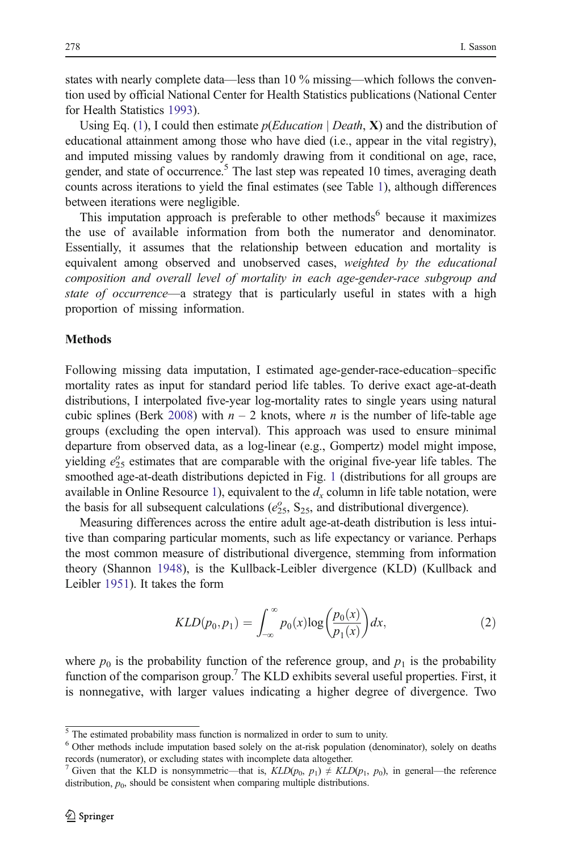states with nearly complete data—less than 10 % missing—which follows the convention used by official National Center for Health Statistics publications (National Center for Health Statistics [1993\)](#page-24-0).

Using Eq. [\(1](#page-9-0)), I could then estimate  $p(Education | Death, X)$  and the distribution of educational attainment among those who have died (i.e., appear in the vital registry), and imputed missing values by randomly drawing from it conditional on age, race, gender, and state of occurrence.<sup>5</sup> The last step was repeated 10 times, averaging death counts across iterations to yield the final estimates (see Table [1](#page-11-0)), although differences between iterations were negligible.

This imputation approach is preferable to other methods<sup>6</sup> because it maximizes the use of available information from both the numerator and denominator. Essentially, it assumes that the relationship between education and mortality is equivalent among observed and unobserved cases, weighted by the educational composition and overall level of mortality in each age-gender-race subgroup and state of occurrence—a strategy that is particularly useful in states with a high proportion of missing information.

#### Methods

Following missing data imputation, I estimated age-gender-race-education–specific mortality rates as input for standard period life tables. To derive exact age-at-death distributions, I interpolated five-year log-mortality rates to single years using natural cubic splines (Berk [2008](#page-22-0)) with  $n - 2$  knots, where n is the number of life-table age groups (excluding the open interval). This approach was used to ensure minimal departure from observed data, as a log-linear (e.g., Gompertz) model might impose, yielding  $e_{25}^{\circ}$  estimates that are comparable with the original five-year life tables. The smoothed age-at-death distributions depicted in Fig. [1](#page-11-0) (distributions for all groups are available in Online Resource 1), equivalent to the  $d_x$  column in life table notation, were the basis for all subsequent calculations ( $e_{25}^{\circ}$ , S<sub>25</sub>, and distributional divergence).

Measuring differences across the entire adult age-at-death distribution is less intuitive than comparing particular moments, such as life expectancy or variance. Perhaps the most common measure of distributional divergence, stemming from information theory (Shannon [1948\)](#page-25-0), is the Kullback-Leibler divergence (KLD) (Kullback and Leibler [1951](#page-23-0)). It takes the form

$$
KLD(p_0, p_1) = \int_{-\infty}^{\infty} p_0(x) \log \left(\frac{p_0(x)}{p_1(x)}\right) dx,\tag{2}
$$

where  $p_0$  is the probability function of the reference group, and  $p_1$  is the probability function of the comparison group.<sup>7</sup> The KLD exhibits several useful properties. First, it is nonnegative, with larger values indicating a higher degree of divergence. Two

 $\frac{5}{10}$  The estimated probability mass function is normalized in order to sum to unity.

<sup>6</sup> Other methods include imputation based solely on the at-risk population (denominator), solely on deaths records (numerator), or excluding states with incomplete data altogether.

<sup>&</sup>lt;sup>7</sup> Given that the KLD is nonsymmetric—that is,  $KLD(p_0, p_1) \neq KLD(p_1, p_0)$ , in general—the reference distribution,  $p_0$ , should be consistent when comparing multiple distributions.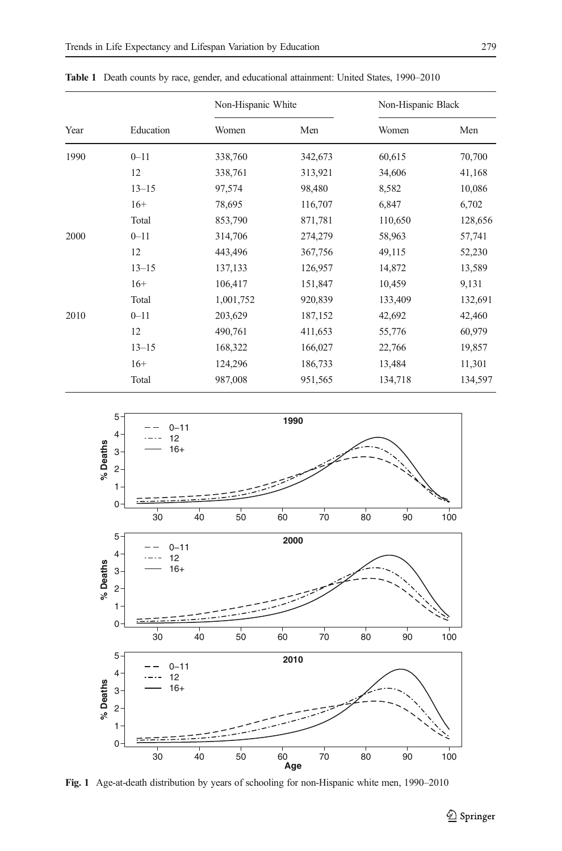| Year<br>1990 |           | Non-Hispanic White |         | Non-Hispanic Black |         |  |  |
|--------------|-----------|--------------------|---------|--------------------|---------|--|--|
|              | Education | Women              | Men     | Women              | Men     |  |  |
|              | $0 - 11$  | 338,760            | 342,673 | 60,615             | 70,700  |  |  |
|              | 12        | 338,761            | 313,921 | 34,606             | 41,168  |  |  |
|              | $13 - 15$ | 97,574             | 98,480  | 8,582              | 10,086  |  |  |
|              | $16+$     | 78,695             | 116,707 | 6,847              | 6,702   |  |  |
|              | Total     | 853,790            | 871,781 | 110,650            | 128,656 |  |  |
| 2000         | $0 - 11$  | 314,706            | 274,279 | 58,963             | 57,741  |  |  |
|              | 12        | 443,496            | 367,756 | 49,115             | 52,230  |  |  |
|              | $13 - 15$ | 137,133            | 126,957 | 14,872             | 13,589  |  |  |
|              | $16+$     | 106,417            | 151,847 | 10,459             | 9,131   |  |  |
|              | Total     | 1,001,752          | 920,839 | 133,409            | 132,691 |  |  |
| 2010         | $0 - 11$  | 203,629            | 187,152 | 42,692             | 42,460  |  |  |
|              | 12        | 490,761            | 411,653 | 55,776             | 60,979  |  |  |
|              | $13 - 15$ | 168,322            | 166,027 | 22,766             | 19,857  |  |  |
|              | $16+$     | 124,296            | 186,733 | 13,484             | 11,301  |  |  |
|              | Total     | 987,008            | 951,565 | 134,718            | 134,597 |  |  |

<span id="page-11-0"></span>Table 1 Death counts by race, gender, and educational attainment: United States, 1990–2010



Fig. 1 Age-at-death distribution by years of schooling for non-Hispanic white men, 1990–2010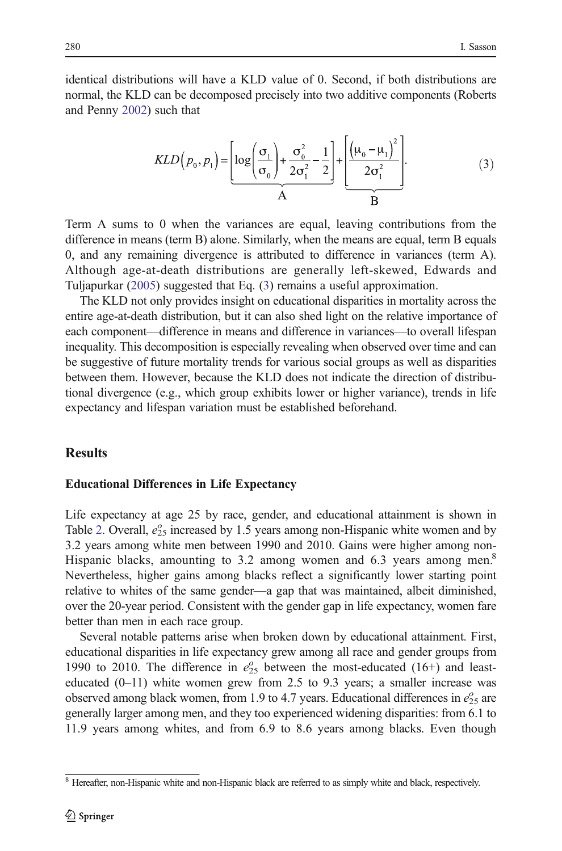identical distributions will have a KLD value of 0. Second, if both distributions are normal, the KLD can be decomposed precisely into two additive components (Roberts and Penny [2002\)](#page-24-0) such that

$$
KLD(p_0, p_1) = \underbrace{\left[\log\left(\frac{\sigma_1}{\sigma_0}\right) + \frac{\sigma_0^2}{2\sigma_1^2} - \frac{1}{2}\right]}_{A} + \underbrace{\left(\mu_0 - \mu_1\right)^2}_{B}.
$$
\n(3)

Term A sums to 0 when the variances are equal, leaving contributions from the difference in means (term B) alone. Similarly, when the means are equal, term B equals 0, and any remaining divergence is attributed to difference in variances (term A). Although age-at-death distributions are generally left-skewed, Edwards and Tuljapurkar [\(2005\)](#page-23-0) suggested that Eq. (3) remains a useful approximation.

The KLD not only provides insight on educational disparities in mortality across the entire age-at-death distribution, but it can also shed light on the relative importance of each component—difference in means and difference in variances—to overall lifespan inequality. This decomposition is especially revealing when observed over time and can be suggestive of future mortality trends for various social groups as well as disparities between them. However, because the KLD does not indicate the direction of distributional divergence (e.g., which group exhibits lower or higher variance), trends in life expectancy and lifespan variation must be established beforehand.

#### **Results**

#### Educational Differences in Life Expectancy

Life expectancy at age 25 by race, gender, and educational attainment is shown in Table [2.](#page-13-0) Overall,  $e_{25}^{\circ}$  increased by 1.5 years among non-Hispanic white women and by 3.2 years among white men between 1990 and 2010. Gains were higher among non-Hispanic blacks, amounting to 3.2 among women and 6.3 years among men.<sup>8</sup> Nevertheless, higher gains among blacks reflect a significantly lower starting point relative to whites of the same gender—a gap that was maintained, albeit diminished, over the 20-year period. Consistent with the gender gap in life expectancy, women fare better than men in each race group.

Several notable patterns arise when broken down by educational attainment. First, educational disparities in life expectancy grew among all race and gender groups from 1990 to 2010. The difference in  $e_{25}^{\circ}$  between the most-educated (16+) and leasteducated  $(0-11)$  white women grew from 2.5 to 9.3 years; a smaller increase was observed among black women, from 1.9 to 4.7 years. Educational differences in  $e_{25}^{\circ}$  are generally larger among men, and they too experienced widening disparities: from 6.1 to 11.9 years among whites, and from 6.9 to 8.6 years among blacks. Even though

<sup>&</sup>lt;sup>8</sup> Hereafter, non-Hispanic white and non-Hispanic black are referred to as simply white and black, respectively.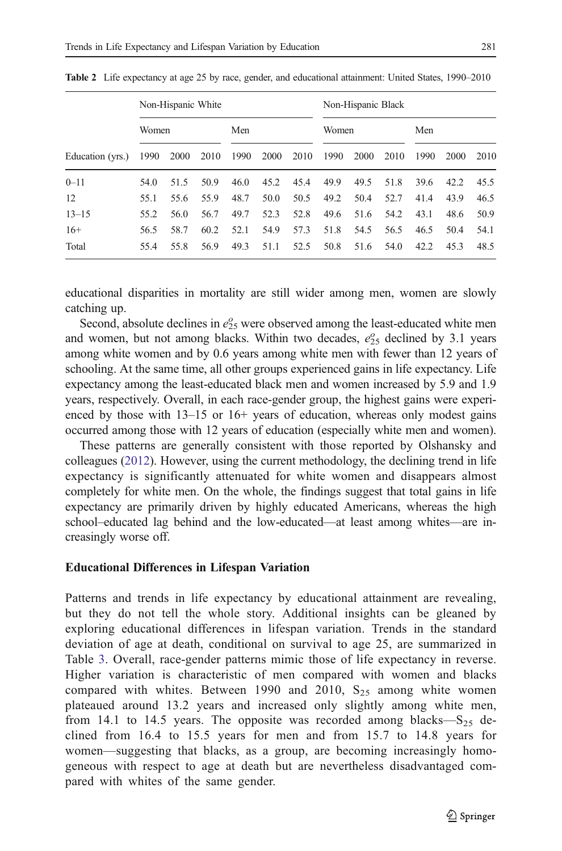|                  | Non-Hispanic White |      |      |      |      |      | Non-Hispanic Black |      |      |      |      |      |
|------------------|--------------------|------|------|------|------|------|--------------------|------|------|------|------|------|
|                  | Women              |      |      | Men  |      |      | Women              |      |      | Men  |      |      |
| Education (yrs.) | 1990               | 2000 | 2010 | 1990 | 2000 | 2010 | 1990               | 2000 | 2010 | 1990 | 2000 | 2010 |
| $0 - 11$         | 54.0               | 51.5 | 50.9 | 46.0 | 45.2 | 45.4 | 49.9               | 49.5 | 51.8 | 39.6 | 42.2 | 45.5 |
| 12               | 55.1               | 55.6 | 55.9 | 48.7 | 50.0 | 50.5 | 49.2               | 50.4 | 52.7 | 41.4 | 43.9 | 46.5 |
| $13 - 15$        | 55.2               | 56.0 | 56.7 | 49.7 | 52.3 | 52.8 | 49.6               | 51.6 | 54.2 | 43.1 | 48.6 | 50.9 |
| $16+$            | 56.5               | 58.7 | 60.2 | 52.1 | 54.9 | 57.3 | 51.8               | 54.5 | 56.5 | 46.5 | 50.4 | 54.1 |
| Total            | 55.4               | 55.8 | 56.9 | 49.3 | 51.1 | 52.5 | 50.8               | 51.6 | 54.0 | 42.2 | 45.3 | 48.5 |

<span id="page-13-0"></span>Table 2 Life expectancy at age 25 by race, gender, and educational attainment: United States, 1990–2010

educational disparities in mortality are still wider among men, women are slowly catching up.

Second, absolute declines in  $e_{25}^{\circ}$  were observed among the least-educated white men and women, but not among blacks. Within two decades,  $e_{25}^{\circ}$  declined by 3.1 years among white women and by 0.6 years among white men with fewer than 12 years of schooling. At the same time, all other groups experienced gains in life expectancy. Life expectancy among the least-educated black men and women increased by 5.9 and 1.9 years, respectively. Overall, in each race-gender group, the highest gains were experienced by those with 13–15 or 16+ years of education, whereas only modest gains occurred among those with 12 years of education (especially white men and women).

These patterns are generally consistent with those reported by Olshansky and colleagues ([2012](#page-24-0)). However, using the current methodology, the declining trend in life expectancy is significantly attenuated for white women and disappears almost completely for white men. On the whole, the findings suggest that total gains in life expectancy are primarily driven by highly educated Americans, whereas the high school–educated lag behind and the low-educated—at least among whites—are increasingly worse off.

#### Educational Differences in Lifespan Variation

Patterns and trends in life expectancy by educational attainment are revealing, but they do not tell the whole story. Additional insights can be gleaned by exploring educational differences in lifespan variation. Trends in the standard deviation of age at death, conditional on survival to age 25, are summarized in Table [3](#page-14-0). Overall, race-gender patterns mimic those of life expectancy in reverse. Higher variation is characteristic of men compared with women and blacks compared with whites. Between 1990 and 2010,  $S_{25}$  among white women plateaued around 13.2 years and increased only slightly among white men, from 14.1 to 14.5 years. The opposite was recorded among blacks— $S_{25}$  declined from 16.4 to 15.5 years for men and from 15.7 to 14.8 years for women—suggesting that blacks, as a group, are becoming increasingly homogeneous with respect to age at death but are nevertheless disadvantaged compared with whites of the same gender.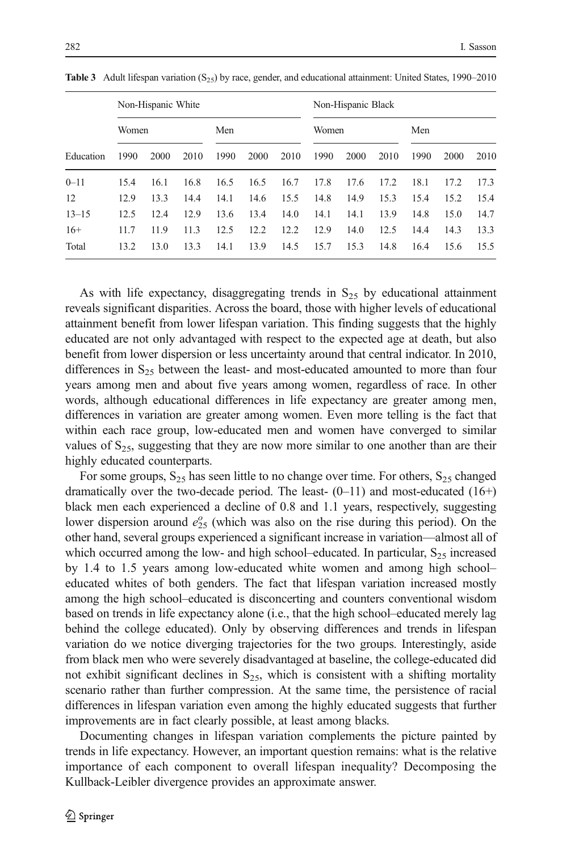|           | Non-Hispanic White |      |      |      |      | Non-Hispanic Black |       |      |      |      |      |      |
|-----------|--------------------|------|------|------|------|--------------------|-------|------|------|------|------|------|
|           | Women              |      |      | Men  |      |                    | Women |      |      | Men  |      |      |
| Education | 1990               | 2000 | 2010 | 1990 | 2000 | 2010               | 1990  | 2000 | 2010 | 1990 | 2000 | 2010 |
| $0 - 11$  | 15.4               | 16.1 | 16.8 | 16.5 | 16.5 | 16.7               | 17.8  | 17.6 | 17.2 | 18.1 | 17.2 | 17.3 |
| 12        | 12.9               | 13.3 | 14.4 | 14.1 | 14.6 | 15.5               | 14.8  | 14.9 | 15.3 | 15.4 | 15.2 | 15.4 |

13–15 12.5 12.4 12.9 13.6 13.4 14.0 14.1 14.1 13.9 14.8 15.0 14.7 16+ 11.7 11.9 11.3 12.5 12.2 12.2 12.9 14.0 12.5 14.4 14.3 13.3 Total 13.2 13.0 13.3 14.1 13.9 14.5 15.7 15.3 14.8 16.4 15.6 15.5

<span id="page-14-0"></span>Table 3 Adult lifespan variation  $(S_{25})$  by race, gender, and educational attainment: United States, 1990–2010

As with life expectancy, disaggregating trends in  $S_{25}$  by educational attainment reveals significant disparities. Across the board, those with higher levels of educational attainment benefit from lower lifespan variation. This finding suggests that the highly educated are not only advantaged with respect to the expected age at death, but also benefit from lower dispersion or less uncertainty around that central indicator. In 2010, differences in  $S_{25}$  between the least- and most-educated amounted to more than four years among men and about five years among women, regardless of race. In other words, although educational differences in life expectancy are greater among men, differences in variation are greater among women. Even more telling is the fact that within each race group, low-educated men and women have converged to similar values of  $S_{25}$ , suggesting that they are now more similar to one another than are their highly educated counterparts.

For some groups,  $S_{25}$  has seen little to no change over time. For others,  $S_{25}$  changed dramatically over the two-decade period. The least- $(0-11)$  and most-educated  $(16+)$ black men each experienced a decline of 0.8 and 1.1 years, respectively, suggesting lower dispersion around  $e_{25}^{\circ}$  (which was also on the rise during this period). On the other hand, several groups experienced a significant increase in variation—almost all of which occurred among the low- and high school–educated. In particular,  $S_{25}$  increased by 1.4 to 1.5 years among low-educated white women and among high school– educated whites of both genders. The fact that lifespan variation increased mostly among the high school–educated is disconcerting and counters conventional wisdom based on trends in life expectancy alone (i.e., that the high school–educated merely lag behind the college educated). Only by observing differences and trends in lifespan variation do we notice diverging trajectories for the two groups. Interestingly, aside from black men who were severely disadvantaged at baseline, the college-educated did not exhibit significant declines in  $S_{25}$ , which is consistent with a shifting mortality scenario rather than further compression. At the same time, the persistence of racial differences in lifespan variation even among the highly educated suggests that further improvements are in fact clearly possible, at least among blacks.

Documenting changes in lifespan variation complements the picture painted by trends in life expectancy. However, an important question remains: what is the relative importance of each component to overall lifespan inequality? Decomposing the Kullback-Leibler divergence provides an approximate answer.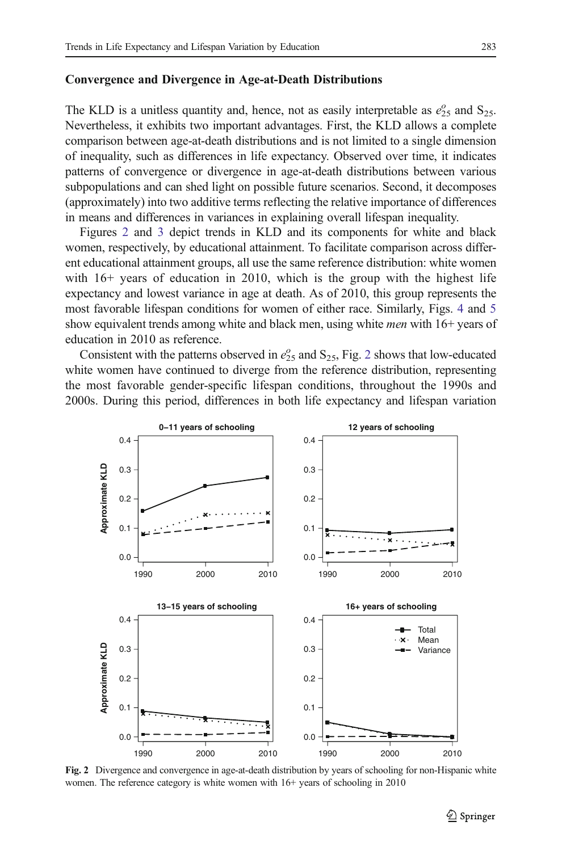#### <span id="page-15-0"></span>Convergence and Divergence in Age-at-Death Distributions

The KLD is a unitless quantity and, hence, not as easily interpretable as  $e_{25}^{\circ}$  and S<sub>25</sub>. Nevertheless, it exhibits two important advantages. First, the KLD allows a complete comparison between age-at-death distributions and is not limited to a single dimension of inequality, such as differences in life expectancy. Observed over time, it indicates patterns of convergence or divergence in age-at-death distributions between various subpopulations and can shed light on possible future scenarios. Second, it decomposes (approximately) into two additive terms reflecting the relative importance of differences in means and differences in variances in explaining overall lifespan inequality.

Figures 2 and [3](#page-16-0) depict trends in KLD and its components for white and black women, respectively, by educational attainment. To facilitate comparison across different educational attainment groups, all use the same reference distribution: white women with 16+ years of education in 2010, which is the group with the highest life expectancy and lowest variance in age at death. As of 2010, this group represents the most favorable lifespan conditions for women of either race. Similarly, Figs. [4](#page-17-0) and [5](#page-18-0) show equivalent trends among white and black men, using white *men* with 16+ years of education in 2010 as reference.

Consistent with the patterns observed in  $e_{25}^{\circ}$  and  $S_{25}$ , Fig. 2 shows that low-educated white women have continued to diverge from the reference distribution, representing the most favorable gender-specific lifespan conditions, throughout the 1990s and 2000s. During this period, differences in both life expectancy and lifespan variation



Fig. 2 Divergence and convergence in age-at-death distribution by years of schooling for non-Hispanic white women. The reference category is white women with 16+ years of schooling in 2010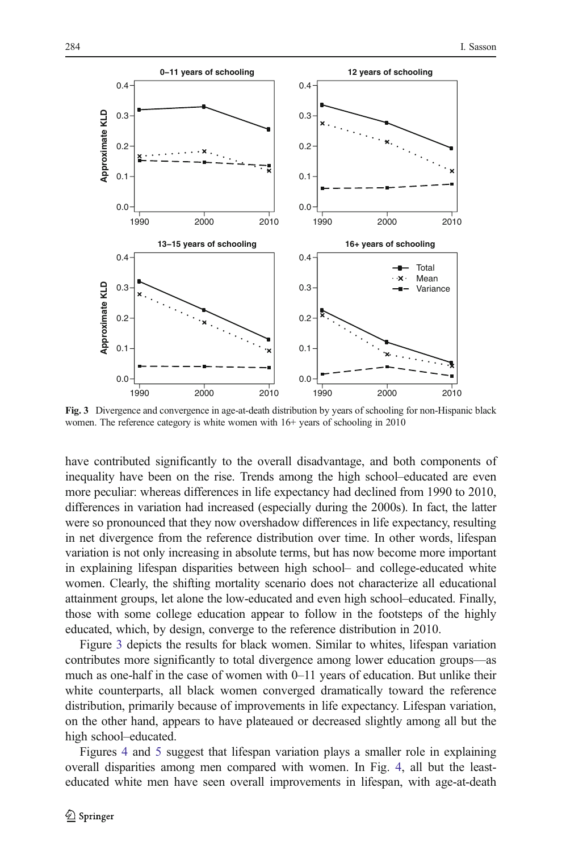<span id="page-16-0"></span>

Fig. 3 Divergence and convergence in age-at-death distribution by years of schooling for non-Hispanic black women. The reference category is white women with 16+ years of schooling in 2010

have contributed significantly to the overall disadvantage, and both components of inequality have been on the rise. Trends among the high school–educated are even more peculiar: whereas differences in life expectancy had declined from 1990 to 2010, differences in variation had increased (especially during the 2000s). In fact, the latter were so pronounced that they now overshadow differences in life expectancy, resulting in net divergence from the reference distribution over time. In other words, lifespan variation is not only increasing in absolute terms, but has now become more important in explaining lifespan disparities between high school– and college-educated white women. Clearly, the shifting mortality scenario does not characterize all educational attainment groups, let alone the low-educated and even high school–educated. Finally, those with some college education appear to follow in the footsteps of the highly educated, which, by design, converge to the reference distribution in 2010.

Figure 3 depicts the results for black women. Similar to whites, lifespan variation contributes more significantly to total divergence among lower education groups—as much as one-half in the case of women with 0–11 years of education. But unlike their white counterparts, all black women converged dramatically toward the reference distribution, primarily because of improvements in life expectancy. Lifespan variation, on the other hand, appears to have plateaued or decreased slightly among all but the high school–educated.

Figures [4](#page-17-0) and [5](#page-18-0) suggest that lifespan variation plays a smaller role in explaining overall disparities among men compared with women. In Fig. [4](#page-17-0), all but the leasteducated white men have seen overall improvements in lifespan, with age-at-death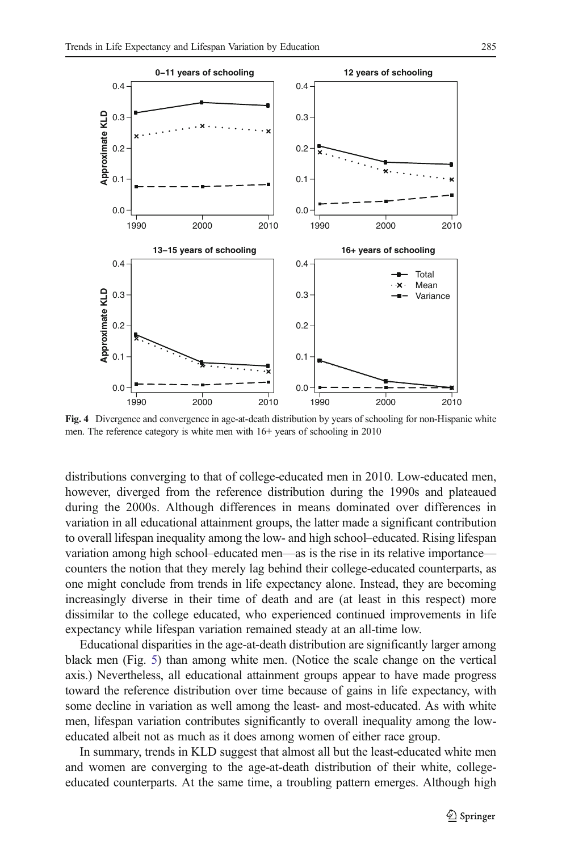<span id="page-17-0"></span>

Fig. 4 Divergence and convergence in age-at-death distribution by years of schooling for non-Hispanic white men. The reference category is white men with 16+ years of schooling in 2010

distributions converging to that of college-educated men in 2010. Low-educated men, however, diverged from the reference distribution during the 1990s and plateaued during the 2000s. Although differences in means dominated over differences in variation in all educational attainment groups, the latter made a significant contribution to overall lifespan inequality among the low- and high school–educated. Rising lifespan variation among high school–educated men—as is the rise in its relative importance counters the notion that they merely lag behind their college-educated counterparts, as one might conclude from trends in life expectancy alone. Instead, they are becoming increasingly diverse in their time of death and are (at least in this respect) more dissimilar to the college educated, who experienced continued improvements in life expectancy while lifespan variation remained steady at an all-time low.

Educational disparities in the age-at-death distribution are significantly larger among black men (Fig. [5](#page-18-0)) than among white men. (Notice the scale change on the vertical axis.) Nevertheless, all educational attainment groups appear to have made progress toward the reference distribution over time because of gains in life expectancy, with some decline in variation as well among the least- and most-educated. As with white men, lifespan variation contributes significantly to overall inequality among the loweducated albeit not as much as it does among women of either race group.

In summary, trends in KLD suggest that almost all but the least-educated white men and women are converging to the age-at-death distribution of their white, collegeeducated counterparts. At the same time, a troubling pattern emerges. Although high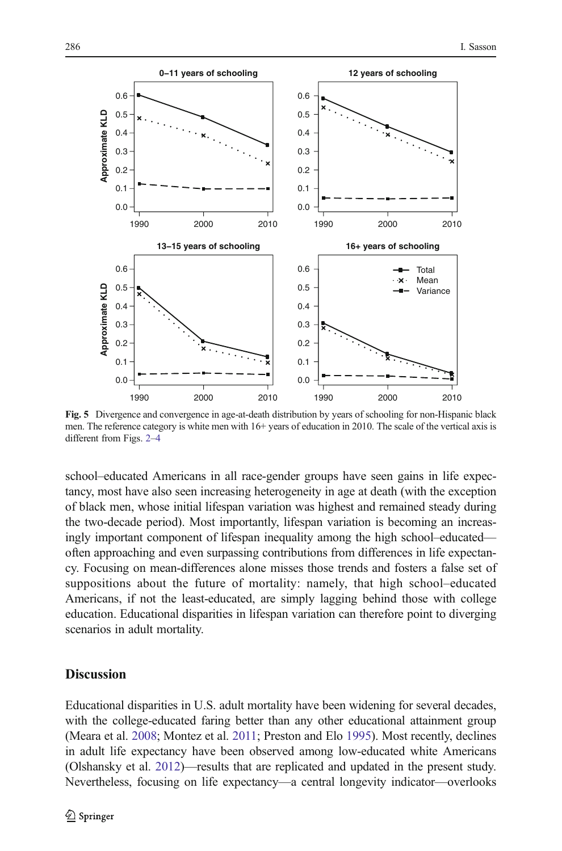<span id="page-18-0"></span>

Fig. 5 Divergence and convergence in age-at-death distribution by years of schooling for non-Hispanic black men. The reference category is white men with 16+ years of education in 2010. The scale of the vertical axis is different from Figs. [2](#page-15-0)–[4](#page-17-0)

school–educated Americans in all race-gender groups have seen gains in life expectancy, most have also seen increasing heterogeneity in age at death (with the exception of black men, whose initial lifespan variation was highest and remained steady during the two-decade period). Most importantly, lifespan variation is becoming an increasingly important component of lifespan inequality among the high school–educated often approaching and even surpassing contributions from differences in life expectancy. Focusing on mean-differences alone misses those trends and fosters a false set of suppositions about the future of mortality: namely, that high school–educated Americans, if not the least-educated, are simply lagging behind those with college education. Educational disparities in lifespan variation can therefore point to diverging scenarios in adult mortality.

#### **Discussion**

Educational disparities in U.S. adult mortality have been widening for several decades, with the college-educated faring better than any other educational attainment group (Meara et al. [2008;](#page-24-0) Montez et al. [2011](#page-24-0); Preston and Elo [1995](#page-24-0)). Most recently, declines in adult life expectancy have been observed among low-educated white Americans (Olshansky et al. [2012](#page-24-0))—results that are replicated and updated in the present study. Nevertheless, focusing on life expectancy—a central longevity indicator—overlooks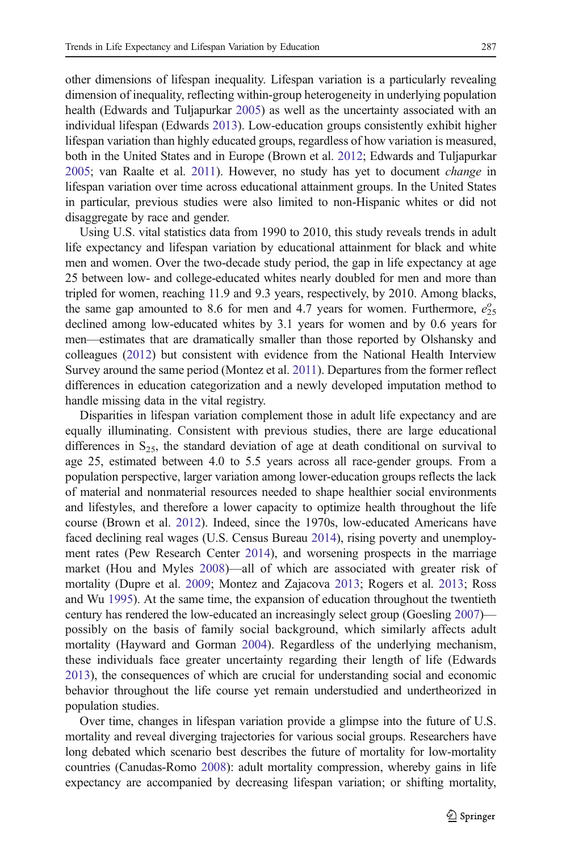other dimensions of lifespan inequality. Lifespan variation is a particularly revealing dimension of inequality, reflecting within-group heterogeneity in underlying population health (Edwards and Tuljapurkar [2005](#page-23-0)) as well as the uncertainty associated with an individual lifespan (Edwards [2013\)](#page-23-0). Low-education groups consistently exhibit higher lifespan variation than highly educated groups, regardless of how variation is measured, both in the United States and in Europe (Brown et al. [2012;](#page-22-0) Edwards and Tuljapurkar [2005;](#page-23-0) van Raalte et al. [2011\)](#page-25-0). However, no study has yet to document change in lifespan variation over time across educational attainment groups. In the United States in particular, previous studies were also limited to non-Hispanic whites or did not disaggregate by race and gender.

Using U.S. vital statistics data from 1990 to 2010, this study reveals trends in adult life expectancy and lifespan variation by educational attainment for black and white men and women. Over the two-decade study period, the gap in life expectancy at age 25 between low- and college-educated whites nearly doubled for men and more than tripled for women, reaching 11.9 and 9.3 years, respectively, by 2010. Among blacks, the same gap amounted to 8.6 for men and 4.7 years for women. Furthermore,  $e_{25}^{\circ}$ declined among low-educated whites by 3.1 years for women and by 0.6 years for men—estimates that are dramatically smaller than those reported by Olshansky and colleagues [\(2012\)](#page-24-0) but consistent with evidence from the National Health Interview Survey around the same period (Montez et al. [2011](#page-24-0)). Departures from the former reflect differences in education categorization and a newly developed imputation method to handle missing data in the vital registry.

Disparities in lifespan variation complement those in adult life expectancy and are equally illuminating. Consistent with previous studies, there are large educational differences in  $S_{25}$ , the standard deviation of age at death conditional on survival to age 25, estimated between 4.0 to 5.5 years across all race-gender groups. From a population perspective, larger variation among lower-education groups reflects the lack of material and nonmaterial resources needed to shape healthier social environments and lifestyles, and therefore a lower capacity to optimize health throughout the life course (Brown et al. [2012](#page-22-0)). Indeed, since the 1970s, low-educated Americans have faced declining real wages (U.S. Census Bureau [2014](#page-25-0)), rising poverty and unemployment rates (Pew Research Center [2014](#page-24-0)), and worsening prospects in the marriage market (Hou and Myles [2008](#page-23-0))—all of which are associated with greater risk of mortality (Dupre et al. [2009;](#page-23-0) Montez and Zajacova [2013;](#page-24-0) Rogers et al. [2013;](#page-24-0) Ross and Wu [1995](#page-24-0)). At the same time, the expansion of education throughout the twentieth century has rendered the low-educated an increasingly select group (Goesling [2007](#page-23-0)) possibly on the basis of family social background, which similarly affects adult mortality (Hayward and Gorman [2004\)](#page-23-0). Regardless of the underlying mechanism, these individuals face greater uncertainty regarding their length of life (Edwards [2013\)](#page-23-0), the consequences of which are crucial for understanding social and economic behavior throughout the life course yet remain understudied and undertheorized in population studies.

Over time, changes in lifespan variation provide a glimpse into the future of U.S. mortality and reveal diverging trajectories for various social groups. Researchers have long debated which scenario best describes the future of mortality for low-mortality countries (Canudas-Romo [2008\)](#page-22-0): adult mortality compression, whereby gains in life expectancy are accompanied by decreasing lifespan variation; or shifting mortality,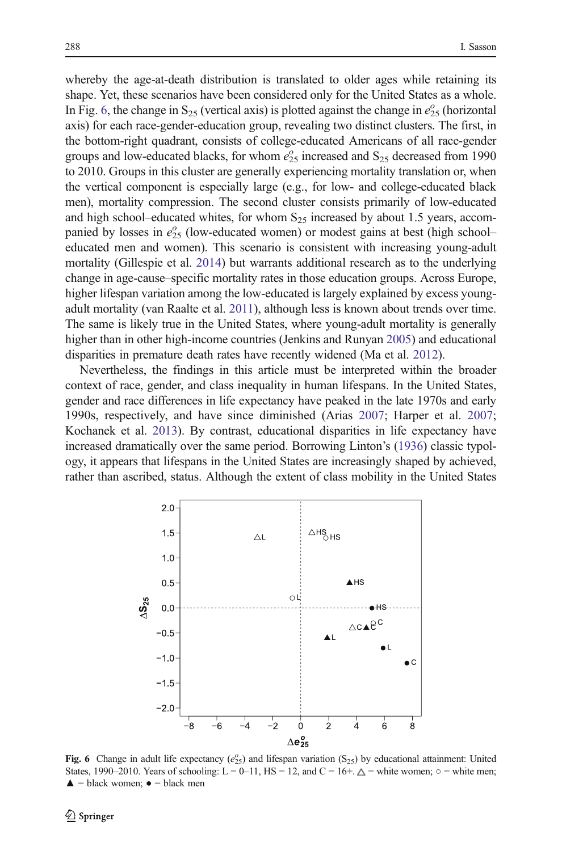whereby the age-at-death distribution is translated to older ages while retaining its shape. Yet, these scenarios have been considered only for the United States as a whole. In Fig. 6, the change in  $S_{25}$  (vertical axis) is plotted against the change in  $e_{25}^{\circ}$  (horizontal axis) for each race-gender-education group, revealing two distinct clusters. The first, in the bottom-right quadrant, consists of college-educated Americans of all race-gender groups and low-educated blacks, for whom  $e_{25}^{\circ}$  increased and  $S_{25}$  decreased from 1990 to 2010. Groups in this cluster are generally experiencing mortality translation or, when the vertical component is especially large (e.g., for low- and college-educated black men), mortality compression. The second cluster consists primarily of low-educated and high school–educated whites, for whom  $S_{25}$  increased by about 1.5 years, accompanied by losses in  $e_{25}^{\circ}$  (low-educated women) or modest gains at best (high schooleducated men and women). This scenario is consistent with increasing young-adult mortality (Gillespie et al. [2014](#page-23-0)) but warrants additional research as to the underlying change in age-cause–specific mortality rates in those education groups. Across Europe, higher lifespan variation among the low-educated is largely explained by excess youngadult mortality (van Raalte et al. [2011\)](#page-25-0), although less is known about trends over time. The same is likely true in the United States, where young-adult mortality is generally higher than in other high-income countries (Jenkins and Runyan [2005\)](#page-23-0) and educational disparities in premature death rates have recently widened (Ma et al. [2012\)](#page-24-0).

Nevertheless, the findings in this article must be interpreted within the broader context of race, gender, and class inequality in human lifespans. In the United States, gender and race differences in life expectancy have peaked in the late 1970s and early 1990s, respectively, and have since diminished (Arias [2007;](#page-22-0) Harper et al. [2007;](#page-23-0) Kochanek et al. [2013\)](#page-23-0). By contrast, educational disparities in life expectancy have increased dramatically over the same period. Borrowing Linton's [\(1936\)](#page-24-0) classic typology, it appears that lifespans in the United States are increasingly shaped by achieved, rather than ascribed, status. Although the extent of class mobility in the United States



Fig. 6 Change in adult life expectancy  $(e_{25}^{\circ})$  and lifespan variation  $(S_{25})$  by educational attainment: United States, 1990–2010. Years of schooling: L = 0–11, HS = 12, and C = 16+.  $\triangle$  = white women;  $\circ$  = white men;  $\triangle$  = black women;  $\bullet$  = black men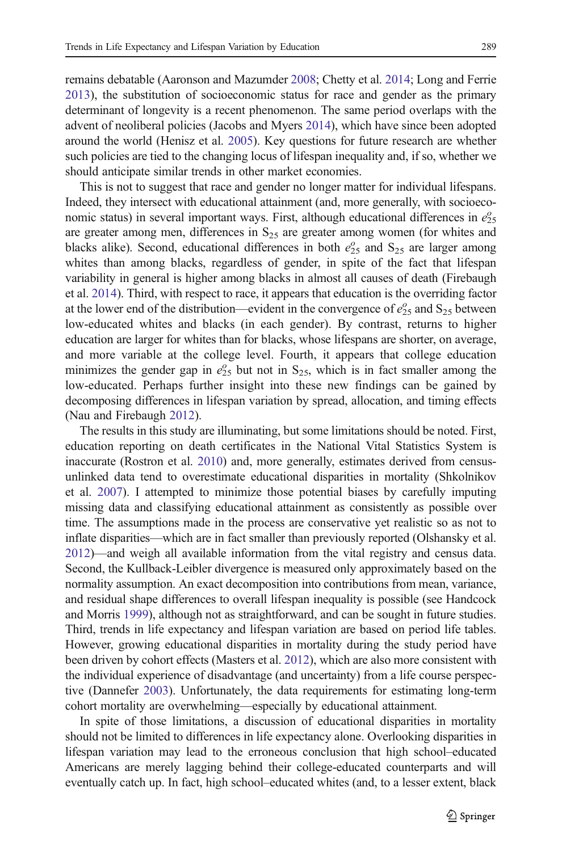remains debatable (Aaronson and Mazumder [2008](#page-22-0); Chetty et al. [2014;](#page-22-0) Long and Ferrie [2013\)](#page-24-0), the substitution of socioeconomic status for race and gender as the primary determinant of longevity is a recent phenomenon. The same period overlaps with the advent of neoliberal policies (Jacobs and Myers [2014\)](#page-23-0), which have since been adopted around the world (Henisz et al. [2005\)](#page-23-0). Key questions for future research are whether such policies are tied to the changing locus of lifespan inequality and, if so, whether we should anticipate similar trends in other market economies.

This is not to suggest that race and gender no longer matter for individual lifespans. Indeed, they intersect with educational attainment (and, more generally, with socioeconomic status) in several important ways. First, although educational differences in  $e_{25}^{\circ}$ are greater among men, differences in  $S_{25}$  are greater among women (for whites and blacks alike). Second, educational differences in both  $e_{25}^{\circ}$  and  $S_{25}$  are larger among whites than among blacks, regardless of gender, in spite of the fact that lifespan variability in general is higher among blacks in almost all causes of death (Firebaugh et al. [2014](#page-23-0)). Third, with respect to race, it appears that education is the overriding factor at the lower end of the distribution—evident in the convergence of  $e_{25}^{\circ}$  and  $S_{25}$  between low-educated whites and blacks (in each gender). By contrast, returns to higher education are larger for whites than for blacks, whose lifespans are shorter, on average, and more variable at the college level. Fourth, it appears that college education minimizes the gender gap in  $e_{25}^{\circ}$  but not in S<sub>25</sub>, which is in fact smaller among the low-educated. Perhaps further insight into these new findings can be gained by decomposing differences in lifespan variation by spread, allocation, and timing effects (Nau and Firebaugh [2012](#page-24-0)).

The results in this study are illuminating, but some limitations should be noted. First, education reporting on death certificates in the National Vital Statistics System is inaccurate (Rostron et al. [2010](#page-25-0)) and, more generally, estimates derived from censusunlinked data tend to overestimate educational disparities in mortality (Shkolnikov et al. [2007\)](#page-25-0). I attempted to minimize those potential biases by carefully imputing missing data and classifying educational attainment as consistently as possible over time. The assumptions made in the process are conservative yet realistic so as not to inflate disparities—which are in fact smaller than previously reported (Olshansky et al. [2012\)](#page-24-0)—and weigh all available information from the vital registry and census data. Second, the Kullback-Leibler divergence is measured only approximately based on the normality assumption. An exact decomposition into contributions from mean, variance, and residual shape differences to overall lifespan inequality is possible (see Handcock and Morris [1999](#page-23-0)), although not as straightforward, and can be sought in future studies. Third, trends in life expectancy and lifespan variation are based on period life tables. However, growing educational disparities in mortality during the study period have been driven by cohort effects (Masters et al. [2012](#page-24-0)), which are also more consistent with the individual experience of disadvantage (and uncertainty) from a life course perspective (Dannefer [2003\)](#page-23-0). Unfortunately, the data requirements for estimating long-term cohort mortality are overwhelming—especially by educational attainment.

In spite of those limitations, a discussion of educational disparities in mortality should not be limited to differences in life expectancy alone. Overlooking disparities in lifespan variation may lead to the erroneous conclusion that high school–educated Americans are merely lagging behind their college-educated counterparts and will eventually catch up. In fact, high school–educated whites (and, to a lesser extent, black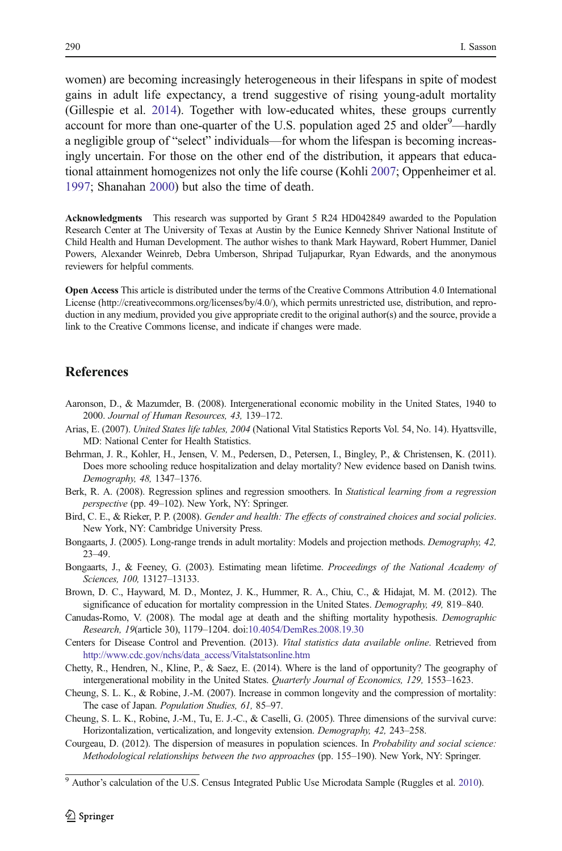<span id="page-22-0"></span>women) are becoming increasingly heterogeneous in their lifespans in spite of modest gains in adult life expectancy, a trend suggestive of rising young-adult mortality (Gillespie et al. [2014](#page-23-0)). Together with low-educated whites, these groups currently account for more than one-quarter of the U.S. population aged 25 and older<sup>9</sup>—hardly a negligible group of "select" individuals—for whom the lifespan is becoming increasingly uncertain. For those on the other end of the distribution, it appears that educational attainment homogenizes not only the life course (Kohli [2007;](#page-23-0) Oppenheimer et al. [1997;](#page-24-0) Shanahan [2000\)](#page-25-0) but also the time of death.

Acknowledgments This research was supported by Grant 5 R24 HD042849 awarded to the Population Research Center at The University of Texas at Austin by the Eunice Kennedy Shriver National Institute of Child Health and Human Development. The author wishes to thank Mark Hayward, Robert Hummer, Daniel Powers, Alexander Weinreb, Debra Umberson, Shripad Tuljapurkar, Ryan Edwards, and the anonymous reviewers for helpful comments.

Open Access This article is distributed under the terms of the Creative Commons Attribution 4.0 International License (http://creativecommons.org/licenses/by/4.0/), which permits unrestricted use, distribution, and reproduction in any medium, provided you give appropriate credit to the original author(s) and the source, provide a link to the Creative Commons license, and indicate if changes were made.

#### **References**

- Aaronson, D., & Mazumder, B. (2008). Intergenerational economic mobility in the United States, 1940 to 2000. Journal of Human Resources, 43, 139–172.
- Arias, E. (2007). United States life tables, 2004 (National Vital Statistics Reports Vol. 54, No. 14). Hyattsville, MD: National Center for Health Statistics.
- Behrman, J. R., Kohler, H., Jensen, V. M., Pedersen, D., Petersen, I., Bingley, P., & Christensen, K. (2011). Does more schooling reduce hospitalization and delay mortality? New evidence based on Danish twins. Demography, 48, 1347–1376.
- Berk, R. A. (2008). Regression splines and regression smoothers. In Statistical learning from a regression perspective (pp. 49–102). New York, NY: Springer.
- Bird, C. E., & Rieker, P. P. (2008). Gender and health: The effects of constrained choices and social policies. New York, NY: Cambridge University Press.
- Bongaarts, J. (2005). Long-range trends in adult mortality: Models and projection methods. Demography, 42, 23–49.
- Bongaarts, J., & Feeney, G. (2003). Estimating mean lifetime. Proceedings of the National Academy of Sciences, 100, 13127–13133.
- Brown, D. C., Hayward, M. D., Montez, J. K., Hummer, R. A., Chiu, C., & Hidajat, M. M. (2012). The significance of education for mortality compression in the United States. Demography, 49, 819–840.
- Canudas-Romo, V. (2008). The modal age at death and the shifting mortality hypothesis. Demographic Research, 19(article 30), 1179–1204. doi[:10.4054/DemRes.2008.19.30](http://dx.doi.org/10.4054/DemRes.2008.19.30)
- Centers for Disease Control and Prevention. (2013). Vital statistics data available online. Retrieved from [http://www.cdc.gov/nchs/data\\_access/Vitalstatsonline.htm](http://www.cdc.gov/nchs/data_access/Vitalstatsonline.htm)
- Chetty, R., Hendren, N., Kline, P., & Saez, E. (2014). Where is the land of opportunity? The geography of intergenerational mobility in the United States. Quarterly Journal of Economics, 129, 1553–1623.
- Cheung, S. L. K., & Robine, J.-M. (2007). Increase in common longevity and the compression of mortality: The case of Japan. Population Studies, 61, 85–97.
- Cheung, S. L. K., Robine, J.-M., Tu, E. J.-C., & Caselli, G. (2005). Three dimensions of the survival curve: Horizontalization, verticalization, and longevity extension. Demography, 42, 243–258.
- Courgeau, D. (2012). The dispersion of measures in population sciences. In Probability and social science: Methodological relationships between the two approaches (pp. 155–190). New York, NY: Springer.

<sup>&</sup>lt;sup>9</sup> Author's calculation of the U.S. Census Integrated Public Use Microdata Sample (Ruggles et al. [2010](#page-25-0)).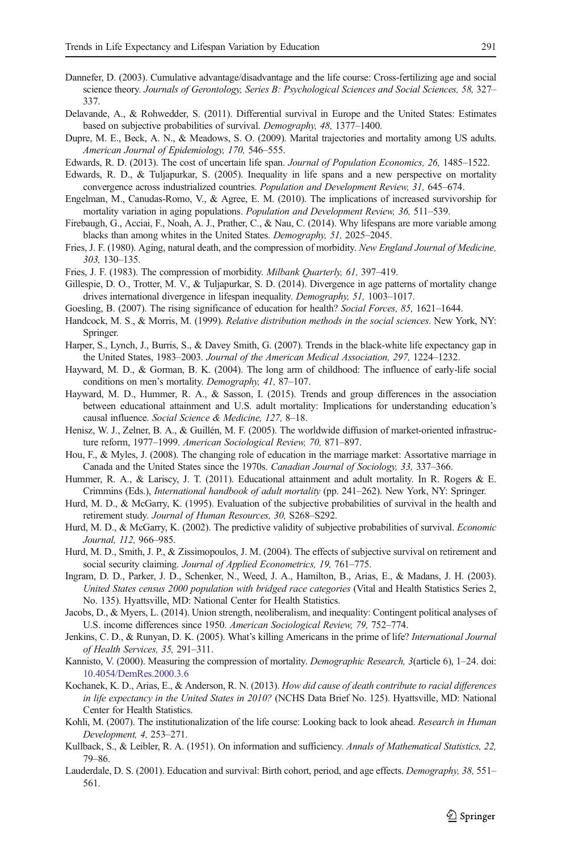- <span id="page-23-0"></span>Dannefer, D. (2003). Cumulative advantage/disadvantage and the life course: Cross-fertilizing age and social science theory. Journals of Gerontology, Series B: Psychological Sciences and Social Sciences, 58, 327– 337.
- Delavande, A., & Rohwedder, S. (2011). Differential survival in Europe and the United States: Estimates based on subjective probabilities of survival. Demography, 48, 1377–1400.
- Dupre, M. E., Beck, A. N., & Meadows, S. O. (2009). Marital trajectories and mortality among US adults. American Journal of Epidemiology, 170, 546–555.
- Edwards, R. D. (2013). The cost of uncertain life span. Journal of Population Economics, 26, 1485–1522.
- Edwards, R. D., & Tuljapurkar, S. (2005). Inequality in life spans and a new perspective on mortality convergence across industrialized countries. Population and Development Review, 31, 645–674.
- Engelman, M., Canudas-Romo, V., & Agree, E. M. (2010). The implications of increased survivorship for mortality variation in aging populations. Population and Development Review, 36, 511–539.
- Firebaugh, G., Acciai, F., Noah, A. J., Prather, C., & Nau, C. (2014). Why lifespans are more variable among blacks than among whites in the United States. Demography, 51, 2025–2045.
- Fries, J. F. (1980). Aging, natural death, and the compression of morbidity. New England Journal of Medicine, 303, 130–135.
- Fries, J. F. (1983). The compression of morbidity. Milbank Quarterly, 61, 397–419.
- Gillespie, D. O., Trotter, M. V., & Tuljapurkar, S. D. (2014). Divergence in age patterns of mortality change drives international divergence in lifespan inequality. Demography, 51, 1003–1017.
- Goesling, B. (2007). The rising significance of education for health? Social Forces, 85, 1621–1644.
- Handcock, M. S., & Morris, M. (1999). Relative distribution methods in the social sciences. New York, NY: Springer.
- Harper, S., Lynch, J., Burris, S., & Davey Smith, G. (2007). Trends in the black-white life expectancy gap in the United States, 1983–2003. Journal of the American Medical Association, 297, 1224–1232.
- Hayward, M. D., & Gorman, B. K. (2004). The long arm of childhood: The influence of early-life social conditions on men's mortality. Demography, 41, 87–107.
- Hayward, M. D., Hummer, R. A., & Sasson, I. (2015). Trends and group differences in the association between educational attainment and U.S. adult mortality: Implications for understanding education's causal influence. Social Science & Medicine, 127, 8–18.
- Henisz, W. J., Zelner, B. A., & Guillén, M. F. (2005). The worldwide diffusion of market-oriented infrastructure reform, 1977–1999. American Sociological Review, 70, 871–897.
- Hou, F., & Myles, J. (2008). The changing role of education in the marriage market: Assortative marriage in Canada and the United States since the 1970s. Canadian Journal of Sociology, 33, 337–366.
- Hummer, R. A., & Lariscy, J. T. (2011). Educational attainment and adult mortality. In R. Rogers & E. Crimmins (Eds.), International handbook of adult mortality (pp. 241–262). New York, NY: Springer.
- Hurd, M. D., & McGarry, K. (1995). Evaluation of the subjective probabilities of survival in the health and retirement study. Journal of Human Resources, 30, S268–S292.
- Hurd, M. D., & McGarry, K. (2002). The predictive validity of subjective probabilities of survival. Economic Journal, 112, 966–985.
- Hurd, M. D., Smith, J. P., & Zissimopoulos, J. M. (2004). The effects of subjective survival on retirement and social security claiming. Journal of Applied Econometrics, 19, 761–775.
- Ingram, D. D., Parker, J. D., Schenker, N., Weed, J. A., Hamilton, B., Arias, E., & Madans, J. H. (2003). United States census 2000 population with bridged race categories (Vital and Health Statistics Series 2, No. 135). Hyattsville, MD: National Center for Health Statistics.
- Jacobs, D., & Myers, L. (2014). Union strength, neoliberalism, and inequality: Contingent political analyses of U.S. income differences since 1950. American Sociological Review, 79, 752–774.
- Jenkins, C. D., & Runyan, D. K. (2005). What's killing Americans in the prime of life? International Journal of Health Services, 35, 291–311.
- Kannisto, V. (2000). Measuring the compression of mortality. *Demographic Research*, 3(article 6), 1–24. doi: [10.4054/DemRes.2000.3.6](http://dx.doi.org/10.4054/DemRes.2000.3.6)
- Kochanek, K. D., Arias, E., & Anderson, R. N. (2013). How did cause of death contribute to racial differences in life expectancy in the United States in 2010? (NCHS Data Brief No. 125). Hyattsville, MD: National Center for Health Statistics.
- Kohli, M. (2007). The institutionalization of the life course: Looking back to look ahead. Research in Human Development, 4, 253–271.
- Kullback, S., & Leibler, R. A. (1951). On information and sufficiency. Annals of Mathematical Statistics, 22, 79–86.
- Lauderdale, D. S. (2001). Education and survival: Birth cohort, period, and age effects. Demography, 38, 551– 561.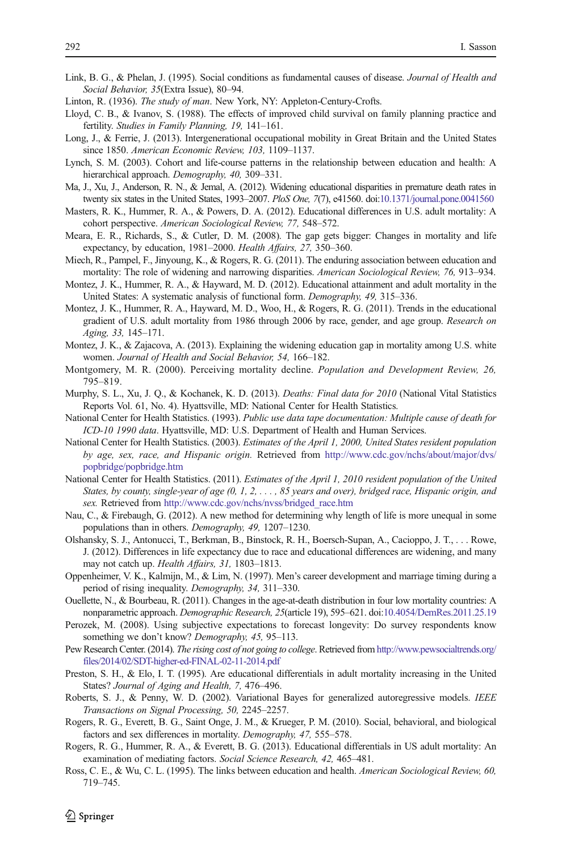- <span id="page-24-0"></span>Link, B. G., & Phelan, J. (1995). Social conditions as fundamental causes of disease. Journal of Health and Social Behavior, 35(Extra Issue), 80–94.
- Linton, R. (1936). The study of man. New York, NY: Appleton-Century-Crofts.
- Lloyd, C. B., & Ivanov, S. (1988). The effects of improved child survival on family planning practice and fertility. Studies in Family Planning, 19, 141–161.
- Long, J., & Ferrie, J. (2013). Intergenerational occupational mobility in Great Britain and the United States since 1850. American Economic Review, 103, 1109–1137.
- Lynch, S. M. (2003). Cohort and life-course patterns in the relationship between education and health: A hierarchical approach. Demography, 40, 309-331.
- Ma, J., Xu, J., Anderson, R. N., & Jemal, A. (2012). Widening educational disparities in premature death rates in twenty six states in the United States, 1993–2007. PloS One, 7(7), e41560. doi[:10.1371/journal.pone.0041560](http://dx.doi.org/10.1371/journal.pone.0041560)
- Masters, R. K., Hummer, R. A., & Powers, D. A. (2012). Educational differences in U.S. adult mortality: A cohort perspective. American Sociological Review, 77, 548–572.
- Meara, E. R., Richards, S., & Cutler, D. M. (2008). The gap gets bigger: Changes in mortality and life expectancy, by education, 1981–2000. Health Affairs, 27, 350–360.
- Miech, R., Pampel, F., Jinyoung, K., & Rogers, R. G. (2011). The enduring association between education and mortality: The role of widening and narrowing disparities. American Sociological Review, 76, 913–934.
- Montez, J. K., Hummer, R. A., & Hayward, M. D. (2012). Educational attainment and adult mortality in the United States: A systematic analysis of functional form. Demography, 49, 315–336.
- Montez, J. K., Hummer, R. A., Hayward, M. D., Woo, H., & Rogers, R. G. (2011). Trends in the educational gradient of U.S. adult mortality from 1986 through 2006 by race, gender, and age group. Research on Aging, 33, 145–171.
- Montez, J. K., & Zajacova, A. (2013). Explaining the widening education gap in mortality among U.S. white women. Journal of Health and Social Behavior, 54, 166–182.
- Montgomery, M. R. (2000). Perceiving mortality decline. Population and Development Review, 26, 795–819.
- Murphy, S. L., Xu, J. Q., & Kochanek, K. D. (2013). *Deaths: Final data for 2010* (National Vital Statistics Reports Vol. 61, No. 4). Hyattsville, MD: National Center for Health Statistics.
- National Center for Health Statistics. (1993). Public use data tape documentation: Multiple cause of death for ICD-10 1990 data. Hyattsville, MD: U.S. Department of Health and Human Services.
- National Center for Health Statistics. (2003). Estimates of the April 1, 2000, United States resident population by age, sex, race, and Hispanic origin. Retrieved from [http://www.cdc.gov/nchs/about/major/dvs/](http://www.cdc.gov/nchs/about/major/dvs/popbridge/popbridge.htm) [popbridge/popbridge.htm](http://www.cdc.gov/nchs/about/major/dvs/popbridge/popbridge.htm)
- National Center for Health Statistics. (2011). Estimates of the April 1, 2010 resident population of the United States, by county, single-year of age (0, 1, 2, . . . , 85 years and over), bridged race, Hispanic origin, and sex. Retrieved from [http://www.cdc.gov/nchs/nvss/bridged\\_race.htm](http://www.cdc.gov/nchs/nvss/bridged_race.htm)
- Nau, C., & Firebaugh, G. (2012). A new method for determining why length of life is more unequal in some populations than in others. Demography, 49, 1207–1230.
- Olshansky, S. J., Antonucci, T., Berkman, B., Binstock, R. H., Boersch-Supan, A., Cacioppo, J. T., . . . Rowe, J. (2012). Differences in life expectancy due to race and educational differences are widening, and many may not catch up. Health Affairs, 31, 1803–1813.
- Oppenheimer, V. K., Kalmijn, M., & Lim, N. (1997). Men's career development and marriage timing during a period of rising inequality. Demography, 34, 311–330.
- Ouellette, N., & Bourbeau, R. (2011). Changes in the age-at-death distribution in four low mortality countries: A nonparametric approach. Demographic Research, 25(article 19), 595–621. doi[:10.4054/DemRes.2011.25.19](http://dx.doi.org/10.4054/DemRes.2011.25.19)
- Perozek, M. (2008). Using subjective expectations to forecast longevity: Do survey respondents know something we don't know? Demography, 45, 95-113.
- Pew Research Center. (2014). The rising cost of not going to college. Retrieved from [http://www.pewsocialtrends.org/](http://www.pewsocialtrends.org/files/2014/02/SDT-higher-ed-FINAL-02-11-2014.pdf) [files/2014/02/SDT-higher-ed-FINAL-02-11-2014.pdf](http://www.pewsocialtrends.org/files/2014/02/SDT-higher-ed-FINAL-02-11-2014.pdf)
- Preston, S. H., & Elo, I. T. (1995). Are educational differentials in adult mortality increasing in the United States? Journal of Aging and Health, 7, 476–496.
- Roberts, S. J., & Penny, W. D. (2002). Variational Bayes for generalized autoregressive models. IEEE Transactions on Signal Processing, 50, 2245–2257.
- Rogers, R. G., Everett, B. G., Saint Onge, J. M., & Krueger, P. M. (2010). Social, behavioral, and biological factors and sex differences in mortality. Demography, 47, 555–578.
- Rogers, R. G., Hummer, R. A., & Everett, B. G. (2013). Educational differentials in US adult mortality: An examination of mediating factors. Social Science Research, 42, 465–481.
- Ross, C. E., & Wu, C. L. (1995). The links between education and health. American Sociological Review, 60, 719–745.